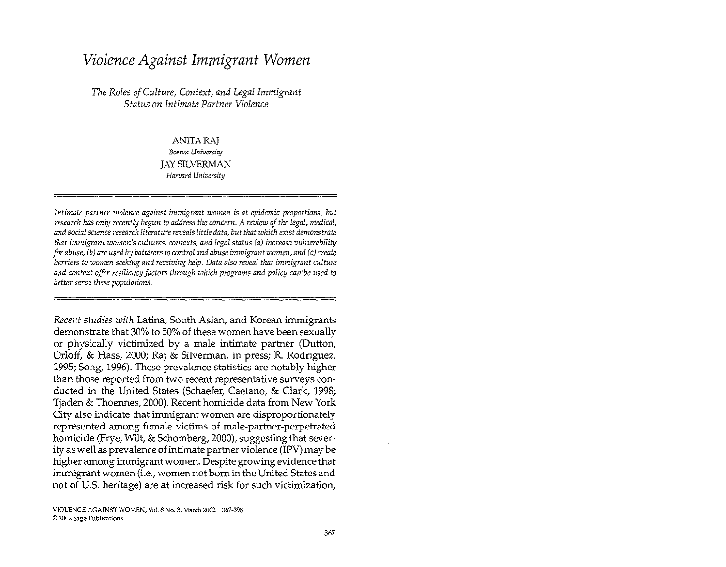# *Violence Against Immigrant Women*

*The Roles of Culture, Context, and Legal Immigrant Status on Intimate Partner Violence* 

> ANITA RAJ *Boston University*  JAY SILVERMAN *Harvard University*

*Intimate partner violence against immigrant women is at epidemic proportions, but research has only recently begun to address the concern. A review of the legal, medical, and social science research literature reveals little data, but that which exist demonstrate that immi'grant women's cultures, contexts, and legal status (a) increase vulnerability for abuse, (b) are used by batterers to control and abuse immigrant women, and (c) create*  barriers to women seeking and receiving help. Data also reveal that immigrant culture *and context offer resiliency factors through which programs and policy can· be used to better serve these populations.* 

*Recent studies with* Latina, South Asian, and Korean immigrants demonstrate that 30% to 50% of these women have been sexually or physically victimized by a male intimate partner (Dutton, Orloff, & Hass, 2000; Raj & Silverman, in press; R. Rodriguez, 1995; Song, 1996). These prevalence statistics are notably higher than those reported from two recent representative surveys conducted in the United States (Schaefer, Caetano, & Clark, 1998; Tjaden & Thoennes, 2000). Recent homicide data from New York City also indicate that immigrant women are disproportionately represented among female victims of male-partner-perpetrated homicide (Frye, Wilt, & Schomberg, 2000), suggesting that severity as well as prevalence of intimate partner violence (IPV) may be higher among immigrant women. Despite growing evidence that immigrant women (i.e., women not born in the United States and not of U.S. heritage) are at increased risk for such victimization,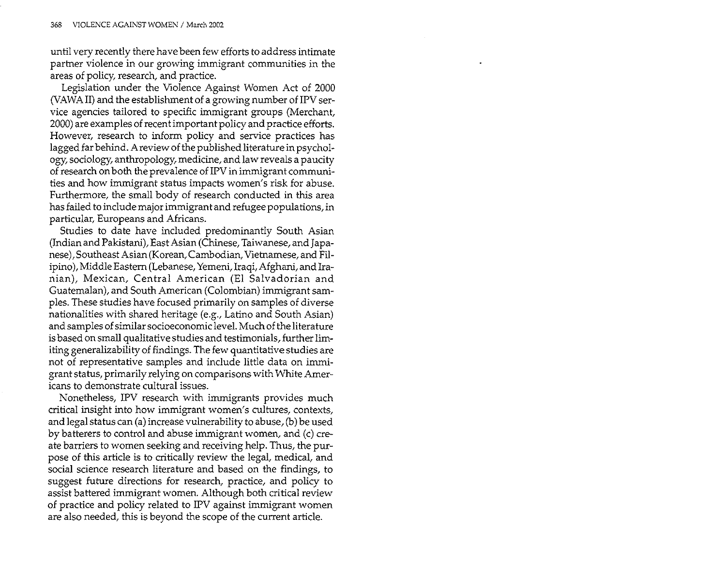until very recently there have been few efforts to address intimate partner violence in our growing immigrant communities in the areas of policy, research, and practice.

Legislation under the Violence Against Women Act of 2000 (VAWA II) and the establishment of a growing number of IPV service agencies tailored to specific immigrant groups (Merchant, 2000) are examples of recent important policy and practice efforts. However, research to inform policy and service practices has lagged far behind. A review of the published literature in psychology, sociology, anthropology, medicine, and law reveals a paucity of research on both the prevalence of IPV in immigrant communities and how immigrant status impacts women's risk for abuse. Furthermore, the small body of research conducted in this area has failed to include major immigrant and refugee populations, in particular, Europeans and Africans.

Studies to date have included predominantly South Asian (Indian and Pakistani), East Asian (Chinese, Taiwanese, and Japanese), Southeast Asian (Korean, Cambodian, Vietnamese, and Filipino), Middle Eastern (Lebanese, Yemeni, Iraqi, Afghani, and Iranian), Mexican, Central American (El Salvadorian and Guatemalan), and South American (Colombian) immigrant samples. These studies have focused primarily on samples of diverse nationalities with shared heritage (e.g., Latino and South Asian) and samples of similar socioeconomic level. Much of the literature is based on small qualitative studies and testimonials, further limiting generalizability of findings. The few quantitative studies are not of representative samples and include little data on immigrant status, primarily relying on comparisons with White Americans to demonstrate cultural issues.

Nonetheless, IPV research with immigrants provides much critical insight into how immigrant women's cultures, contexts, and legal status can (a) increase vulnerability to abuse, (b) be used by batterers to control and abuse immigrant women, and (c) create barriers to women seeking and receiving help. Thus, the purpose of this article is to critically review the legal, medical, and social science research literature and based on the findings, to suggest future directions for research, practice, and policy to assist battered immigrant women. Although both critical review of practice and policy related to IPV against immigrant women are also needed, this is beyond the scope of the current article.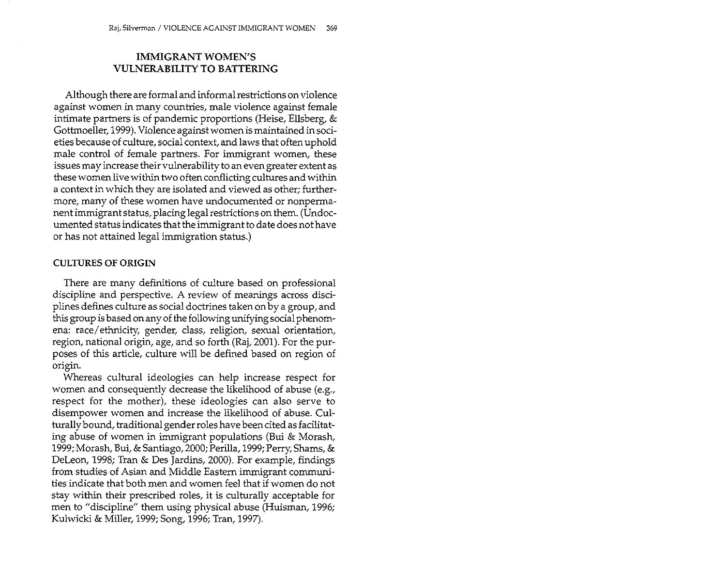# IMMIGRANT WOMEN'S VULNERABILITY TO BATTERING

Although there are formal and informal restrictions on violence against women in many countries, male violence against female intimate partners is of pandemic proportions (Heise, Ellsberg, & Gottmoeller, 1999). Violence against women is maintained in societies because of culture, social context, and laws that often uphold male control of female partners. For immigrant women, these issues may increase their vulnerability to an even greater extent as these women live within two often conflicting cultures and within a context in which they are isolated and viewed as other; furthermore, many of these women have undocumented or nonpermanent immigrant status, placing legal restrictions on them. (Undocumented status indicates that the immigrant to date does not have or has not attained legal immigration status.)

# CULTURES OF ORIGIN

There are many definitions of culture based on professional discipline and perspective. A review of meanings across disciplines defines culture as social doctrines taken on by a group, and this group is based on any of the following unifying social phenomena: race/ ethnicity, gender, class, religion, sexual orientation, region, national origin, age, and so forth (Raj, 2001). For the purposes of this article, culture will be defined based on region of origin.

Whereas cultural ideologies can help increase respect for women and consequently decrease the likelihood of abuse (e.g., respect for the mother), these ideologies can also serve to disempower women and increase the likelihood of abuse. Culturally bound, traditional gender roles have been cited as facilitating abuse of women in immigrant populations (Bui & Morash, 1999; Morash, Bui, & Santiago, 2000; Perilla, 1999; Perry, Shams, & DeLeon, 1998; Tran & Des Jardins, 2000). For example, findings from studies of Asian and Middle Eastern immigrant communities indicate that both men and women feel that if women do not stay within their prescribed roles, it is culturally acceptable for men to "discipline" them using physical abuse (Huisman, 1996; Kulwicki & Miller, 1999; Song, 1996; Tran, 1997).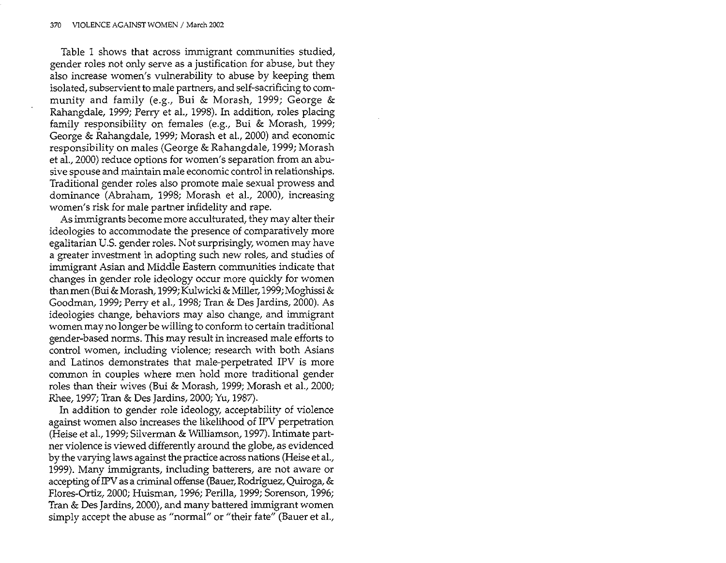Table 1 shows that across immigrant communities studied, gender roles not only serve as a justification for abuse, but they also increase women's vulnerability to abuse by keeping them isolated, subservient to male partners, and self-sacrificing to comm unity and family (e.g., Bui & Morash, 1999; George & Rahangdale, 1999; Perry et al., 1998). In addition, roles placing family responsibility on females (e.g., Bui & Morash, 1999; George & Rahangdale, 1999; Morash et al., 2000) and economic responsibility on males (George & Rahangdale, 1999; Morash et al., 2000) reduce options for women's separation from an abusive spouse and maintain male economic control in relationships. Traditional gender roles also promote male sexual prowess and dominance (Abraham, 1998; Morash et al., 2000), increasing women's risk for male partner infidelity and rape.

As immigrants become more acculturated, they may alter their ideologies to accommodate the presence of comparatively more egalitarian U.S. gender roles. Not surprisingly, women may have a greater investment in adopting such new roles, and studies of immigrant Asian and Middle Eastern communities indicate that changes in gender role ideology occur more quickly for women than men (Bui & Morash, 1999; Kulwicki & Miller, 1999; Moghissi & Goodman, 1999; Perry et al., 1998; Tran & Des Jardins, 2000). As ideologies change, behaviors may also change, and immigrant women may no longer be willing to conform to certain traditional gender-based norms. This may result in increased male efforts to control women, including violence; research with both Asians and Latinos demonstrates that male-perpetrated IPV is more common in couples where men hold more traditional gender roles than their wives (Bui & Morash, 1999; Morash et al., 2000; Rhee, 1997; Tran & Des Jardins, 2000; Yu, 1987).

In addition to gender role ideology, acceptability of violence against women also increases the likelihood of IPV perpetration (Heise et al., 1999; Silverman & Williamson, 1997). Intimate partner violence is viewed differently around the globe, as evidenced by the varying laws against the practice across nations (Heise et al., 1999). Many immigrants, including batterers, are not aware or accepting of IPV as a criminal offense (Bauer, Rodriguez, Quiroga, & Flores-Ortiz, 2000; Huisman, 1996; Perilla, 1999; Sorenson, 1996; Tran & Des Jardins, 2000), and many battered immigrant women simply accept the abuse as "normal" or "their fate" (Bauer et al.,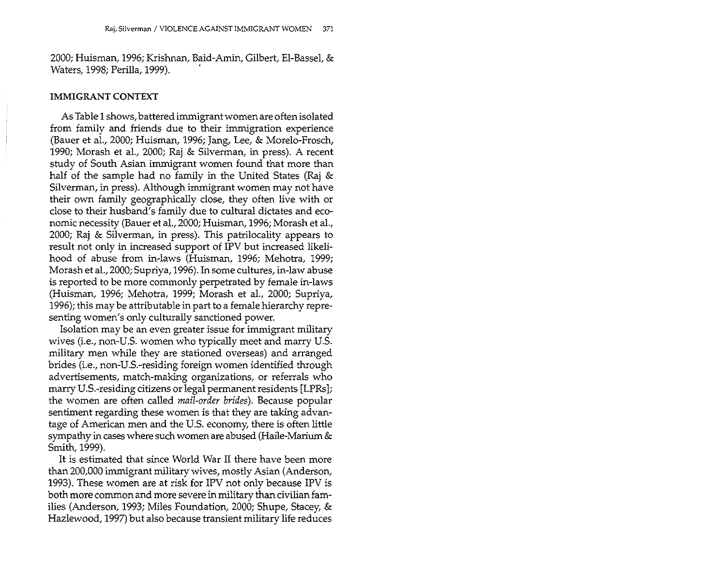2000; Huisman, 1996; Krishnan, Baid-Amin, Gilbert, El-Bassel, & Waters, 1998; Perilla, 1999).

### IMMIGRANT CONTEXT

As Table 1 shows, battered immigrant women are often isolated from family and friends due to their immigration experience (Bauer et al., 2000; Huisman, 1996; Jang, Lee, & Morelo-Frosch, 1990; Morash et al., 2000; Raj & Silverman, in press). A recent study of South Asian immigrant women found that more than half of the sample had no family in the United States (Raj & Silverman, in press). Although immigrant women may not have their own family geographically close, they often live with or close to their husband's family due to cultural dictates and economic necessity (Bauer et al., 2000; Huisman, 1996; Morash et al., 2000; Raj & Silverman, in press). This patrilocality appears to result not only in increased support of IPV but increased likelihood of abuse from in-laws (Huisman, 1996; Mehotra, 1999; Morash et al., 2000; Supriya, 1996). In some cultures, in-law abuse is reported to be more commonly perpetrated by female in-laws (Huisman, 1996; Mehotra, 1999; Morash et al., 2000; Supriya, 1996); this may be attributable in part to a female hierarchy representing women's only culturally sanctioned power.

Isolation may be an even greater issue for immigrant military wives (i.e., non-U.S. women who typically meet and marry U.S. military men while they are stationed overseas) and arranged brides (i.e., non-U.S.-residing foreign women identified through advertisements, match-making organizations, or referrals who marry U.S.-residing citizens or legal permanent residents [LPRs]; the women are often called *mail-order brides).* Because popular sentiment regarding these women is that they are taking advantage of American men and the U.S. economy, there is often little sympathy in cases where such women are abused (Haile-Marium & Smith, 1999).

It is estimated that since World War II there have been more than 200,000 immigrant military wives, mostly Asian (Anderson, 1993). These women are at risk for IPV not only because IPV is both more common and more severe in military than civilian families (Anderson, 1993; Miles Foundation, 2000; Shupe, Stacey, & Hazlewood, 1997) but also because transient military life reduces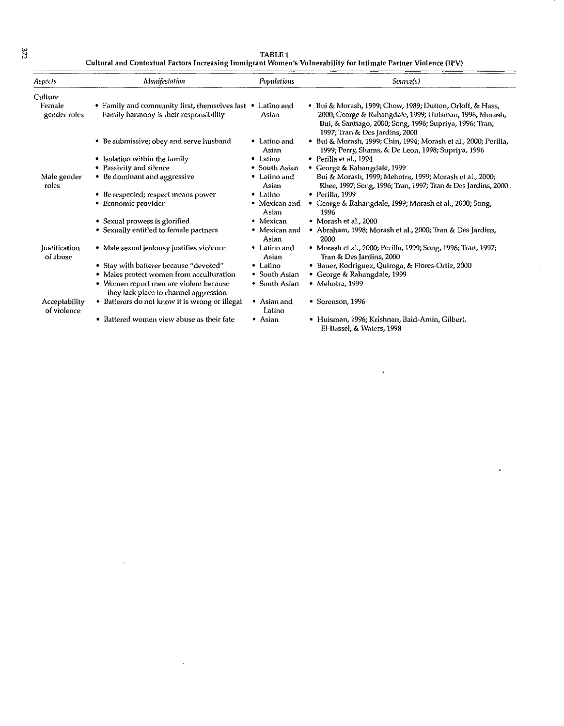TABLE I Cultural and Contextual Factors Increasing Immigrant Women's Vulnerability for Intimate Partner Violence (IPV)

| <b>Aspects</b>                   | <b>Manifestation</b>                                                                      | <b>Populations</b>     | Source(s)                                                                                                                                                                                                         |
|----------------------------------|-------------------------------------------------------------------------------------------|------------------------|-------------------------------------------------------------------------------------------------------------------------------------------------------------------------------------------------------------------|
| Culture                          |                                                                                           |                        |                                                                                                                                                                                                                   |
| Female<br>gender roles           | • Family and community first, themselves last -<br>Family harmony is their responsibility | Latino and<br>Asian    | • Bui & Morash, 1999; Chow, 1989; Dutton, Orloff, & Hass,<br>2000; George & Rahangdale, 1999; Huisman, 1996; Morash,<br>Bui, & Santiago, 2000; Song, 1996; Supriya, 1996; Tran,<br>1997; Tran & Des Jardins, 2000 |
|                                  | • Be submissive; obey and serve husband                                                   | • Latino and<br>Asian  | • Bui & Morash, 1999; Chin, 1994; Morash et al., 2000; Perilla,<br>1999; Perry, Shams, & De Leon, 1998; Supriya, 1996                                                                                             |
|                                  | • Isolation within the family                                                             | • Latino               | • Perilla et al., 1994                                                                                                                                                                                            |
|                                  | • Passivity and silence                                                                   | • South Asian          | · George & Rahangdale, 1999                                                                                                                                                                                       |
| Male gender<br>roles             | • Be dominant and aggressive                                                              | • Latino and<br>Asian  | Bui & Morash, 1999; Mehotra, 1999; Morash et al., 2000;<br>Rhee, 1997; Song, 1996; Tran, 1997; Tran & Des Jardins, 2000.                                                                                          |
|                                  | • Be respected; respect means power                                                       | • Latino               | • Perilla, 1999                                                                                                                                                                                                   |
|                                  | • Economic provider                                                                       | • Mexican and<br>Asian | • George & Rahangdale, 1999; Morash et al., 2000; Song,<br>1996                                                                                                                                                   |
|                                  | • Sexual prowess is glorified                                                             | • Mexican              | • Morash et al., 2000                                                                                                                                                                                             |
|                                  | • Sexually entitled to female partners                                                    | • Mexican and<br>Asian | • Abraham, 1998; Morash et al., 2000; Tran & Des Jardins,<br>2000                                                                                                                                                 |
| <b>Justification</b><br>of abuse | • Male sexual jealousy justifies violence                                                 | • Latino and<br>Asian  | • Morash et al., 2000; Perilla, 1999; Song, 1996; Tran, 1997;<br>Tran & Des Jardins, 2000                                                                                                                         |
|                                  | • Stay with batterer because "devoted"                                                    | • Latino               | • Bauer, Rodriguez, Quiroga, & Flores-Ortiz, 2000                                                                                                                                                                 |
|                                  | • Males protect women from acculturation                                                  | • South Asian          | • George & Rahangdale, 1999                                                                                                                                                                                       |
|                                  | • Women report men are violent because<br>they lack place to channel aggression           | • South Asian          | • Mehotra, 1999                                                                                                                                                                                                   |
| Acceptability<br>of violence     | • Batterers do not know it is wrong or illegal                                            | • Asian and<br>Latino  | • Sorenson 1996                                                                                                                                                                                                   |
|                                  | • Battered women view abuse as their fate                                                 | • Asian                | • Huisman, 1996; Krishnan, Baid-Amin, Gilbert,<br>El-Bassel, & Waters, 1998                                                                                                                                       |

 $\ddot{\phantom{0}}$ 

 $\bullet$ 

÷,

 $\bar{\mathcal{A}}$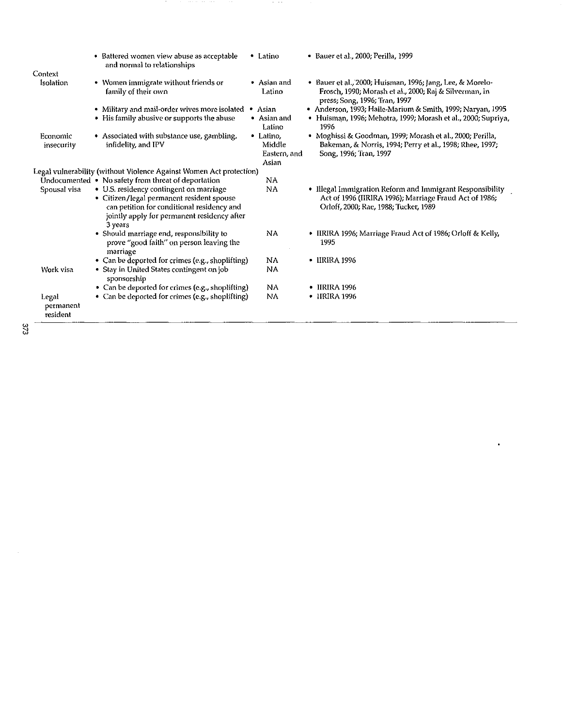| Context                        | • Battered women view abuse as acceptable<br>and normal to relationships                                                                                                                     | • Latino                                     | • Bauer et al., 2000; Perilla, 1999                                                                                                                          |
|--------------------------------|----------------------------------------------------------------------------------------------------------------------------------------------------------------------------------------------|----------------------------------------------|--------------------------------------------------------------------------------------------------------------------------------------------------------------|
| Isolation                      | • Women immigrate without friends or<br>family of their own                                                                                                                                  | • Asian and<br>Latino                        | • Bauer et al., 2000; Huisman, 1996; Jang, Lee, & Morelo-<br>Frosch, 1990; Morash et al., 2000; Raj & Silverman, in<br>press; Song, 1996; Tran, 1997         |
|                                | • Military and mail-order wives more isolated<br>• His family abusive or supports the abuse                                                                                                  | Asian<br>٠<br>• Asian and<br>Latino          | • Anderson, 1993; Haile-Marium & Smith, 1999; Naryan, 1995<br>• Huisman, 1996; Mehotra, 1999; Morash et al., 2000; Supriva,<br>1996                          |
| Economic<br>insecurity         | • Associated with substance use, gambling,<br>infidelity, and IPV                                                                                                                            | • Latino.<br>Middle<br>Eastern, and<br>Asian | · Moghissi & Goodman, 1999; Morash et al., 2000; Perilla,<br>Bakeman, & Norris, 1994; Perry et al., 1998; Rhee, 1997;<br>Song, 1996; Tran, 1997              |
|                                | Legal vulnerability (without Violence Against Women Act protection)                                                                                                                          |                                              |                                                                                                                                                              |
|                                | Undocumented • No safety from threat of deportation                                                                                                                                          | <b>NA</b>                                    |                                                                                                                                                              |
| Spousal visa                   | • U.S. residency contingent on marriage<br>• Citizen/legal permanent resident spouse<br>can petition for conditional residency and<br>jointly apply for permanent residency after<br>3 years | NA                                           | • Illegal Immigration Reform and Immigrant Responsibility<br>Act of 1996 (IIRIRA 1996); Marriage Fraud Act of 1986;<br>Orloff, 2000; Rae, 1988; Tucker, 1989 |
|                                | • Should marriage end, responsibility to<br>prove "good faith" on person leaving the<br>marriage                                                                                             | NA                                           | • IIRIRA 1996; Marriage Fraud Act of 1986; Orloff & Kelly,<br>1995                                                                                           |
|                                | • Can be deported for crimes (e.g., shoplifting)                                                                                                                                             | NΑ                                           | • IIRIRA 1996                                                                                                                                                |
| Work visa                      | • Stay in United States contingent on job<br>sponsorship                                                                                                                                     | NA                                           |                                                                                                                                                              |
|                                | • Can be deported for crimes (e.g., shoplifting)                                                                                                                                             | NA                                           | • IIRIRA 1996                                                                                                                                                |
| Legal<br>permanent<br>resident | • Can be deported for crimes (e.g., shoplifting)                                                                                                                                             | NΑ                                           | • IRIRA 1996                                                                                                                                                 |

 $\bar{z}$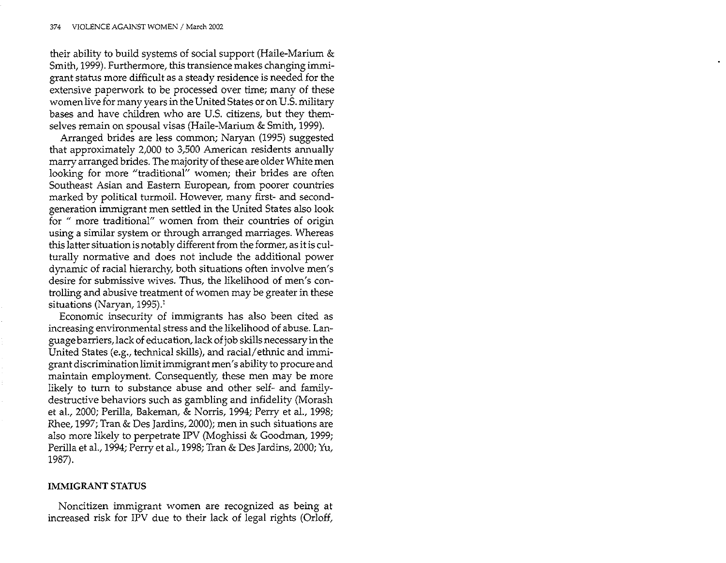their ability to build systems of social support (Haile-Marium & Smith, 1999). Furthermore, this transience makes changing immigrant status more difficult as a steady residence is needed for the extensive paperwork to be processed over time; many of these women live for many years in the United States or on U.S. military bases and have children who are U.S. citizens, but they themselves remain on spousal visas (Haile-Marium & Smith, 1999).

Arranged brides are less common; Naryan (1995) suggested that approximately 2,000 to 3,500 American residents annually marry arranged brides. The majority of these are older White men looking for more "traditional" women; their brides are often Southeast Asian and Eastern European, from poorer countries marked by political turmoil. However, many first- and secondgeneration immigrant men settled in the United States also look for " more traditional" women from their countries of origin using a similar system or through arranged marriages. Whereas this latter situation is notably different from the former, as it is culturally normative and does not include the additional power dynamic of racial hierarchy, both situations often involve men's desire for submissive wives. Thus, the likelihood of men's controlling and abusive treatment of women may be greater in these situations (Naryan, 1995).<sup>1</sup>

Economic insecurity of immigrants has also been cited as increasing environmental stress and the likelihood of abuse. Language barriers, lack of education, Jack of job skills necessary in the United States (e.g., technical skills), and racial/ethnic and immigrant discrimination limit immigrant men's ability to procure and maintain employment. Consequently, these men may be more likely to turn to substance abuse and other self- and familydestructive behaviors such as gambling and infidelity (Morash et al., 2000; Perilla, Bakeman, & Norris, 1994; Perry et al., 1998; Rhee, 1997; Tran & Des Jardins, 2000); men in such situations are also more likely to perpetrate IPV (Moghissi & Goodman, 1999; Perilla et al., 1994; Perry et al., 1998; Tran & Des Jardins, 2000; Yu, 1987).

# **IMMIGRANT STATUS**

Noncitizen immigrant women are recognized as being at increased risk for IPV due to their lack of legal rights (Orloff,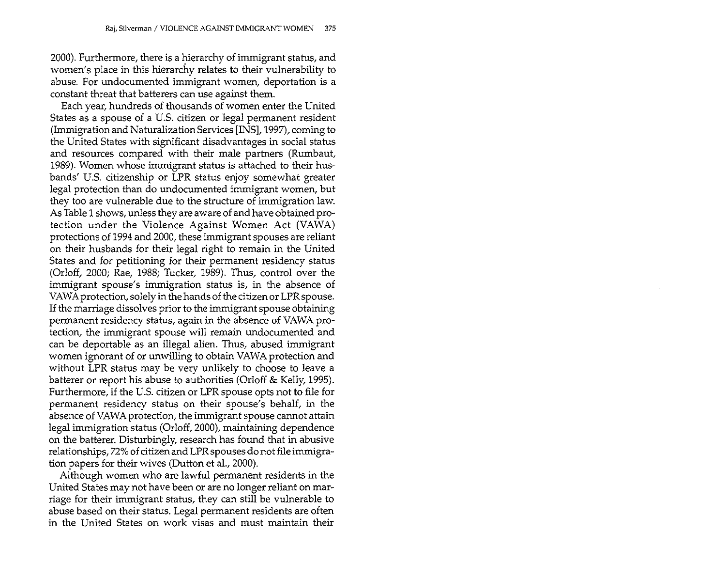2000). Furthermore, there is a hierarchy of immigrant status, and women's place in this hierarchy relates to their vulnerability to abuse. For undocumented immigrant women, deportation is a constant threat that batterers can use against them.

Each year, hundreds of thousands of women enter the United States as a spouse of a U.S. citizen or legal permanent resident (Immigration and Naturalization Services [INS], 1997), coming to the United States with significant disadvantages in social status and resources compared with their male partners (Rumbaut, 1989). Women whose immigrant status is attached to their husbands' U.S. citizenship or LPR status enjoy somewhat greater legal protection than do undocumented immigrant women, but they too are vulnerable due to the structure of immigration law. As Table 1 shows, unless they are aware of and have obtained protection under the Violence Against Women Act (VAWA) protections of 1994 and 2000, these immigrant spouses are reliant on their husbands for their legal right to remain in the United States and for petitioning for their permanent residency status (Orloff, 2000; Rae, 1988; Tucker, 1989). Thus, control over the immigrant spouse's immigration status is, in the absence of VAWA protection, solely in the hands of the citizen or LPR spouse. If the marriage dissolves prior to the immigrant spouse obtaining permanent residency status, again in the absence of VAWA protection, the immigrant spouse will remain undocumented and can be deportable as an illegal alien. Thus, abused immigrant women ignorant of or unwilling to obtain VAWA protection and without LPR status may be very unlikely to choose to leave a batterer or report his abuse to authorities (Orloff & Kelly, 1995). Furthermore, if the U.S. citizen or LPR spouse opts not to file for permanent residency status on their spouse's behalf, in the absence ofVAWA protection, the immigrant spouse cannot attain legal immigration status (Orloff, 2000), maintaining dependence on the batterer. Disturbingly, research has found that in abusive relationships, 72% of citizen and LPR spouses do not file immigration papers for their wives (Dutton et al., 2000).

Although women who are lawful permanent residents in the United States may not have been or are no longer reliant on marriage for their immigrant status, they can still be vulnerable to abuse based on their status. Legal permanent residents are often in the United States on work visas and must maintain their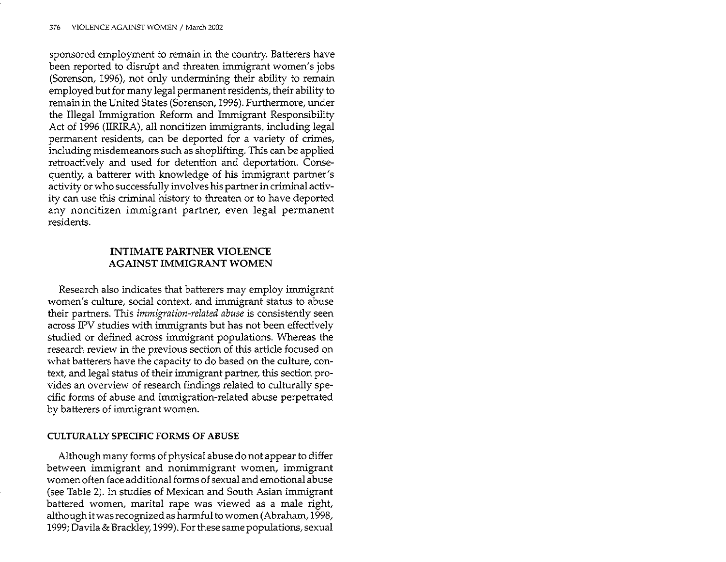sponsored employment to remain in the country. Batterers have been reported to disrupt and threaten immigrant women's jobs (Sorenson, 1996), not only undermining their ability to remain employed but for many legal permanent residents, their ability to remain in the United States (Sorenson, 1996). Furthermore, under the Illegal Immigration Reform and Immigrant Responsibility Act of 1996 (IIRIRA), all noncitizen immigrants, including legal permanent residents, can be deported for a variety of crimes, including misdemeanors such as shoplifting. This can be applied retroactively and used for detention and deportation. Consequently, a batterer with knowledge of his immigrant partner's activity or who successfully involves his partner in criminal activity can use this criminal history to threaten or to have deported any noncitizen immigrant partner, even legal permanent residents.

# INTIMATE PARTNER VIOLENCE AGAINST IMMIGRANT WOMEN

Research also indicates that batterers may employ immigrant women's culture, social context, and immigrant status to abuse their partners. This *immigration-related abuse* is consistently seen across IPV studies with immigrants but has not been effectively studied or defined across immigrant populations. Whereas the research review in the previous section of this article focused on what batterers have the capacity to do based on the culture, context, and legal status of their immigrant partner, this section provides an overview of research findings related to culturally specific forms of abuse and immigration-related abuse perpetrated by batterers of immigrant women.

# CULTURALLY SPECIFIC FORMS OF ABUSE

Although many forms of physical abuse do not appear to differ between immigrant and nonimmigrant women, immigrant women often face additional forms of sexual and emotional abuse (see Table 2). In studies of Mexican and South Asian immigrant battered women, marital rape was viewed as a male right, although it was recognized as harmful to women (Abraham, 1998, 1999; Davila & Brackley, 1999). For these same populations, sexual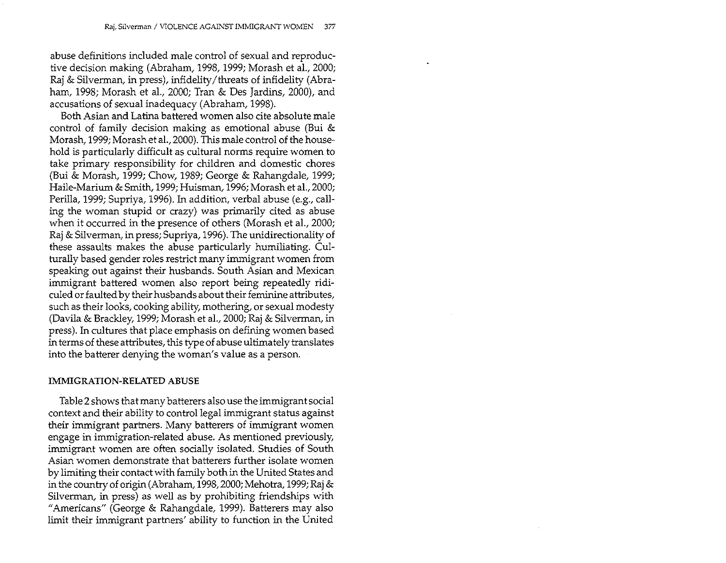abuse definitions included male control of sexual and reproductive decision making (Abraham, 1998, 1999; Morash et al., 2000; Raj & Silverman, in press), infidelity/threats of infidelity (Abraham, 1998; Morash et al., 2000; Tran & Des Jardins, 2000), and accusations of sexual inadequacy (Abraham, 1998).

Both Asian and Latina battered women also cite absolute male control of family decision making as emotional abuse (Bui & Morash, 1999; Morash et al., 2000). This male control of the household is particularly difficult as cultural norms require women to take primary responsibility for children and domestic chores (Bui & Morash, 1999; Chow, 1989; George & Rahangdale, 1999; Haile-Marium & Smith, 1999; Huisman, 1996; Morash et al., 2000; Perilla, 1999; Supriya, 1996). In addition, verbal abuse (e.g., calling the woman stupid or crazy) was primarily cited as abuse when it occurred in the presence of others (Morash et al., 2000; Raj & Silverman, in press; Supriya, 1996). The unidirectionality of these assaults makes the abuse particularly humiliating. Culturally based gender roles restrict many immigrant women from speaking out against their husbands. South Asian and Mexican immigrant battered women also report being repeatedly ridiculed or faulted by their husbands about their feminine attributes, such as their looks, cooking ability, mothering, or sexual modesty (Davila & Brackley, 1999; Morash et al., 2000; Raj & Silverman, in press). In cultures that place emphasis on defining women based in terms of these attributes, this type of abuse ultimately translates into the batterer denying the woman's value as a person.

#### IMMIGRATION-RELATED ABUSE

Table 2 shows that many batterers also use the immigrant social context and their ability to control legal immigrant status against their immigrant partners. Many batterers of immigrant women engage in immigration-related abuse. As mentioned previously, immigrant women are often socially isolated. Studies of South Asian women demonstrate that batterers further isolate women by limiting their contact with family both in the United States and in the country of origin (Abraham, 1998, 2000; Mehotra, 1999; Raj & Silverman, in press) as well as by prohibiting friendships with "Americans" (George & Rahangdale, 1999). Batterers may also limit their immigrant partners' ability to function in the United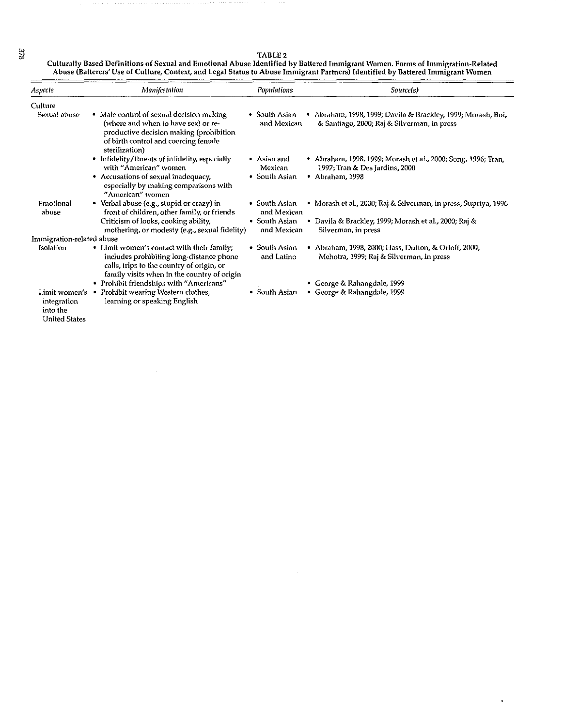378

TABLE2

Culturally Based Definitions of Sexual and Emotional Abuse Identified by Battered Immigrant Women. Forms of Immigration-Related Abuse (Batterers' Use of Culture, Context, and Legal Status to Abuse Immigrant Partners) Identified by Battered Immigrant Women

| Aspects                                                          | <b>Manifestation</b>                                                                                                                                                                 | <b>Populations</b>             | Source(s)                                                                                                   |
|------------------------------------------------------------------|--------------------------------------------------------------------------------------------------------------------------------------------------------------------------------------|--------------------------------|-------------------------------------------------------------------------------------------------------------|
| Culture                                                          |                                                                                                                                                                                      |                                |                                                                                                             |
| Sexual abuse                                                     | • Male control of sexual decision making<br>(where and when to have sex) or re-<br>productive decision making (prohibition<br>of birth control and coercing female<br>sterilization) | • South Asian<br>and Mexican   | • Abraham, 1998, 1999; Davila & Brackley, 1999; Morash, Bui,<br>& Santiago, 2000; Raj & Silverman, in press |
|                                                                  | • Infidelity/threats of infidelity, especially<br>with "American" women                                                                                                              | $\bullet$ Asian and<br>Mexican | • Abraham, 1998, 1999; Morash et al., 2000; Song, 1996; Tran,<br>1997; Tran & Des Jardins, 2000             |
|                                                                  | • Accusations of sexual inadequacy,<br>especially by making comparisons with<br>"American" women                                                                                     | • South Asian                  | • Abraham, 1998                                                                                             |
| Emotional<br>abuse                                               | • Verbal abuse (e.g., stupid or crazy) in<br>front of children, other family, or friends                                                                                             | • South Asian<br>and Mexican   | • Morash et al., 2000; Raj & Silverman, in press; Supriya, 1996                                             |
|                                                                  | Criticism of looks, cooking ability,<br>mothering, or modesty (e.g., sexual fidelity)                                                                                                | • South Asian<br>and Mexican   | • Davila & Brackley, 1999; Morash et al., 2000; Raj &<br>Silverman, in press                                |
| Immigration-related abuse                                        |                                                                                                                                                                                      |                                |                                                                                                             |
| Isolation                                                        | • Limit women's contact with their family;<br>includes prohibiting long-distance phone<br>calls, trips to the country of origin, or<br>family visits when in the country of origin   | • South Asian<br>and Latino    | • Abraham, 1998, 2000; Hass, Dutton, & Orloff, 2000;<br>Mehotra, 1999; Raj & Silverman, in press            |
|                                                                  | • Prohibit friendships with "Americans"                                                                                                                                              |                                | • George & Rahangdale, 1999                                                                                 |
| Limit women's<br>integration<br>into the<br><b>United States</b> | Prohibit wearing Western clothes,<br>learning or speaking English                                                                                                                    | • South Asian                  | · George & Rahangdale, 1999                                                                                 |

 $\bullet$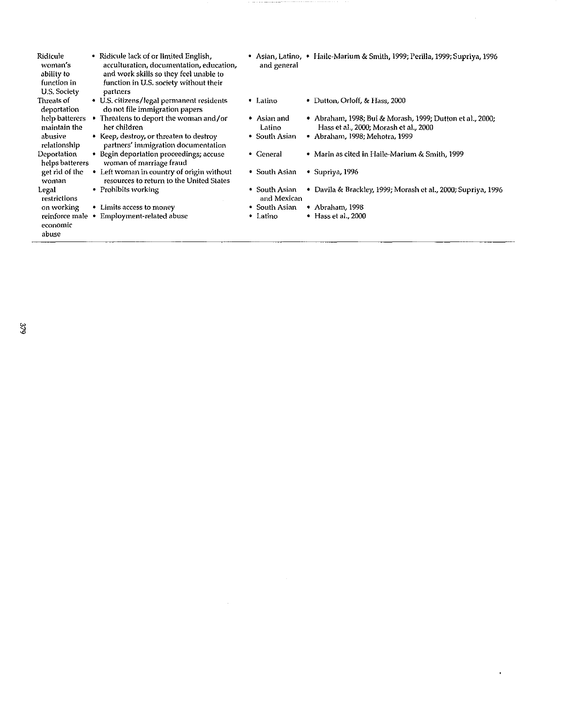| • Ridicule lack of or limited English,<br>acculturation, documentation, education,<br>and work skills so they feel unable to<br>function in U.S. society without their<br>partners | and general                  | Asian, Latino, • Haile-Marium & Smith, 1999; Perilla, 1999; Supriya, 1996                           |
|------------------------------------------------------------------------------------------------------------------------------------------------------------------------------------|------------------------------|-----------------------------------------------------------------------------------------------------|
| • U.S. citizens/legal permanent residents<br>do not file immigration papers                                                                                                        | • Latino                     | • Dutton, Orloff, & Hass, 2000                                                                      |
| Threatens to deport the woman and/or<br>٠<br>her children                                                                                                                          | • Asian and<br>Latino        | • Abraham, 1998; Bui & Morash, 1999; Dutton et al., 2000;<br>Hass et al., 2000; Morash et al., 2000 |
| • Keep, destroy, or threaten to destroy<br>partners' immigration documentation                                                                                                     | • South Asian                | • Abraham, 1998; Mehotra, 1999                                                                      |
| • Begin deportation proceedings; accuse<br>helps batterers<br>woman of marriage fraud                                                                                              | • General                    | • Marin as cited in Haile-Marium & Smith, 1999                                                      |
| Left woman in country of origin without<br>resources to return to the United States                                                                                                | • South Asian                | • Supriya, $1996$                                                                                   |
| • Prohibits working                                                                                                                                                                | • South Asian<br>and Mexican | • Davila & Brackley, 1999; Morash et al., 2000; Supriya, 1996                                       |
| • Limits access to money                                                                                                                                                           | • South Asian                | • Abraham, 1998                                                                                     |
| Employment-related abuse<br>reinforce male •                                                                                                                                       | • Latino                     | • Hass et al., 2000                                                                                 |
|                                                                                                                                                                                    |                              |                                                                                                     |

 $\label{eq:2.1} \frac{1}{\sqrt{2}}\int_{\mathbb{R}^3}\frac{1}{\sqrt{2}}\left(\frac{1}{\sqrt{2}}\right)^2\frac{1}{\sqrt{2}}\left(\frac{1}{\sqrt{2}}\right)^2\frac{1}{\sqrt{2}}\left(\frac{1}{\sqrt{2}}\right)^2\frac{1}{\sqrt{2}}\left(\frac{1}{\sqrt{2}}\right)^2.$ 

 $\bar{\epsilon}$ 

 $\overline{a}$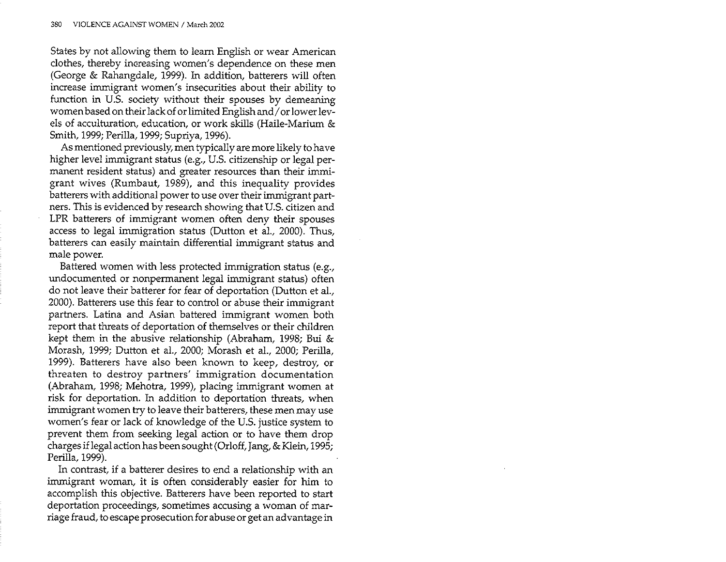States by not allowing them to learn English or wear American clothes, thereby increasing women's dependence on these men (George & Rahangdale, 1999). In addition, batterers will often increase immigrant women's insecurities about their ability to function in U.S. society without their spouses by demeaning women based on their lack of or limited English and/ or lower levels of acculturation, education, or work skills (Haile-Marium & Smith, 1999; Perilla, 1999; Supriya, 1996).

As mentioned previously, men typically are more likely to have higher level immigrant status (e.g., U.S. citizenship or legal permanent resident status) and greater resources than their immigrant wives (Rumbaut, 1989), and this inequality provides batterers with additional power to use over their immigrant partners. This is evidenced by research showing that U.S. citizen and LPR batterers of immigrant women often deny their spouses access to legal immigration status (Dutton et al., 2000). Thus, batterers can easily maintain differential immigrant status and male power.

Battered women with less protected immigration status (e.g., undocumented or nonpermanent legal immigrant status) often do not leave their batterer for fear of deportation (Dutton et al., 2000). Batterers use this fear to control or abuse their immigrant partners. Latina and Asian battered immigrant women both report that threats of deportation of themselves or their children kept them in the abusive relationship (Abraham, 1998; Bui & Morash, 1999; Dutton et al., 2000; Morash et al., 2000; Perilla, 1999). Batterers have also been known to keep, destroy, or threaten to destroy partners' immigration documentation (Abraham, 1998; Mehotra, 1999), placing immigrant women at risk for deportation. In addition to deportation threats, when immigrant women try to leave their batterers, these men may use women's fear or lack of knowledge of the U.S. justice system to prevent them from seeking legal action or to have them drop charges iflegal action has been sought (Orloff, Jang, & Klein, 1995; Perilla, 1999).

In contrast, if a batterer desires to end a relationship with an immigrant woman, it is often considerably easier for him to accomplish this objective. Batterers have been reported to start deportation proceedings, sometimes accusing a woman of marriage fraud, to escape prosecution for abuse or get an advantage in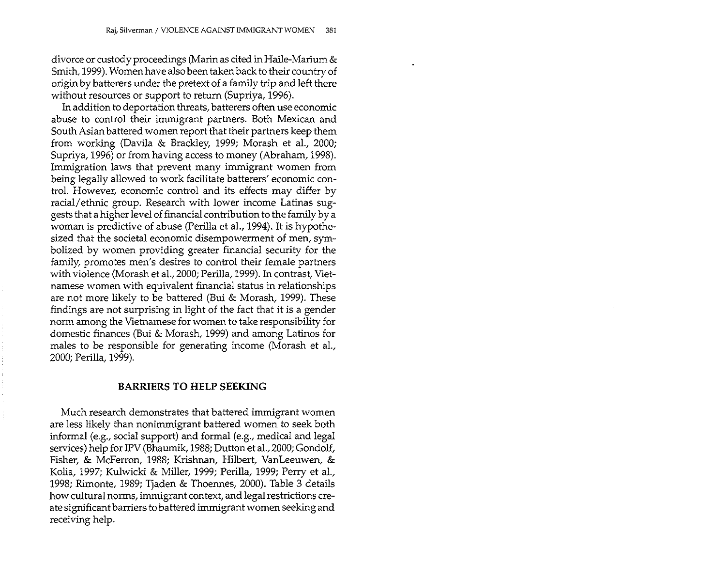divorce or custody proceedings (Marin as cited in Haile-Marium  $\&$ Smith, 1999). Women have also been taken back to their country of origin by batterers under the pretext of a family trip and left there without resources or support to return (Supriya, 1996).

In addition to deportation threats, batterers often use economic abuse to control their immigrant partners. Both Mexican and South Asian battered women report that their partners keep them from working (Davila & Brackley, 1999; Morash et al., 2000; Supriya, 1996) or from having access to money (Abraham, 1998). Immigration laws that prevent many immigrant women from being legally allowed to work facilitate batterers' economic control. However, economic control and its effects may differ by racial/ ethnic group. Research with lower income Latinas suggests that a higher level of financial contribution to the family by a woman is predictive of abuse (Perilla et al., 1994). It is hypothesized that the societal economic disempowerment of men, symbolized by women providing greater financial security for the family, promotes men's desires to control their female partners with violence (Morash et al., 2000; Perilla, 1999). In contrast, Vietnamese women with equivalent financial status in relationships are not more likely to be battered (Bui & Morash, 1999). These findings are not surprising in light of the fact that it is a gender norm among the Vietnamese for women to take responsibility for domestic finances (Bui & Morash, 1999) and among Latinos for males to be responsible for generating income (Morash et al., 2000; Perilla, 1999).

# **BARRIERS TO HELP SEEKING**

Much research demonstrates that battered immigrant women are less likely than nonimmigrant battered women to seek both informal (e.g., social support) and formal (e.g., medical and legal services) help for IPV (Bhaurnik, 1988; Dutton et al., 2000; Gondolf, Fisher, & Mcferron, 1988; Krishnan, Hilbert, Vanleeuwen, & Kolia, 1997; Kulwicki & Miller, 1999; Perilla, 1999; Perry et al., 1998; Rimonte, 1989; Tjaden & Thoennes, 2000). Table 3 details how cultural norms, immigrant context, and legal restrictions create significant barriers to battered immigrant women seeking and receiving help.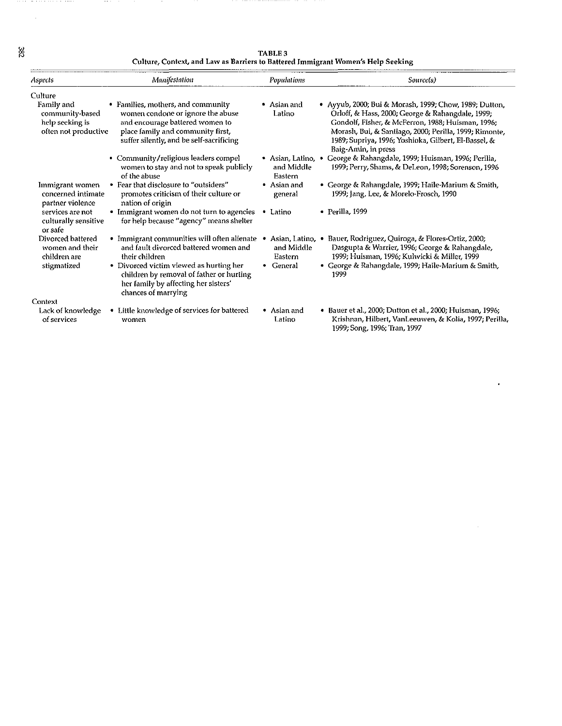TABLE3 Culture, Context, and La\v as Barriers to Battered Immigrant Won1en's Help Seeking

| Aspects                                                                  | Manifestation                                                                                                                                                                                 | <b>Populations</b>                          | Source(s)                                                                                                                                                                                                                                                                                                |
|--------------------------------------------------------------------------|-----------------------------------------------------------------------------------------------------------------------------------------------------------------------------------------------|---------------------------------------------|----------------------------------------------------------------------------------------------------------------------------------------------------------------------------------------------------------------------------------------------------------------------------------------------------------|
| Culture                                                                  |                                                                                                                                                                                               |                                             |                                                                                                                                                                                                                                                                                                          |
| Family and<br>community-based<br>help seeking is<br>often not productive | • Families, mothers, and community<br>women condone or ignore the abuse<br>and encourage battered women to<br>place family and community first,<br>suffer silently, and be self-sacrificing   | • Asian and<br>Latino                       | • Ayyub, 2000; Bui & Morash, 1999; Chow, 1989; Dutton,<br>Orloff, & Hass, 2000; George & Rahangdale, 1999;<br>Gondolf, Fisher, & McFerron, 1988; Huisman, 1996;<br>Morash, Bui, & Santiago, 2000; Perilla, 1999; Rimonte,<br>1989; Supriya, 1996; Yoshioka, Gilbert, El-Bassel, &<br>Baig-Amin, in press |
|                                                                          | • Community/religious leaders compel<br>women to stay and not to speak publicly<br>of the abuse                                                                                               | • Asian, Latino, •<br>and Middle<br>Eastern | George & Rahangdale, 1999; Huisman, 1996; Perilla,<br>1999; Perry, Shams, & DeLeon, 1998; Sorenson, 1996                                                                                                                                                                                                 |
| Immigrant women<br>concerned intimate<br>partner violence                | • Fear that disclosure to "outsiders"<br>promotes criticism of their culture or<br>nation of origin                                                                                           | • Asian and<br>general                      | • George & Rahangdale, 1999; Haile-Marium & Smith,<br>1999; Jang, Lee, & Morelo-Frosch, 1990                                                                                                                                                                                                             |
| services are not<br>culturally sensitive<br>or safe                      | • Immigrant women do not turn to agencies<br>for help because "agency" means shelter                                                                                                          | • Latino                                    | • Perilla, 1999                                                                                                                                                                                                                                                                                          |
| Divorced battered<br>women and their<br>children are<br>stigmatized      | • Immigrant communities will often alienate<br>and fault divorced battered women and<br>their children<br>• Divorced victim viewed as hurting her<br>children by removal of father or hurting | and Middle<br>Eastern<br>• General          | Asian, Latino, • Bauer, Rodriguez, Quiroga, & Flores-Ortiz, 2000;<br>Dasgupta & Warrier, 1996; George & Rahangdale,<br>1999; Huisman, 1996; Kulwicki & Miller, 1999<br>• George & Rahangdale, 1999; Haile-Marium & Smith,<br>1999                                                                        |
|                                                                          | her family by affecting her sisters'<br>chances of marrying                                                                                                                                   |                                             |                                                                                                                                                                                                                                                                                                          |
| Context<br>Lack of knowledge                                             | Little knowledge of services for battered                                                                                                                                                     | • Asian and                                 | • Bauer et al., 2000; Dutton et al., 2000; Huisman, 1996;                                                                                                                                                                                                                                                |
| of services                                                              | women                                                                                                                                                                                         | Latino                                      | Krishnan, Hilbert, VanLeeuwen, & Kolia, 1997; Perilla,<br>1999; Song, 1996; Tran, 1997                                                                                                                                                                                                                   |

 $\epsilon$ 

 $\bar{z}$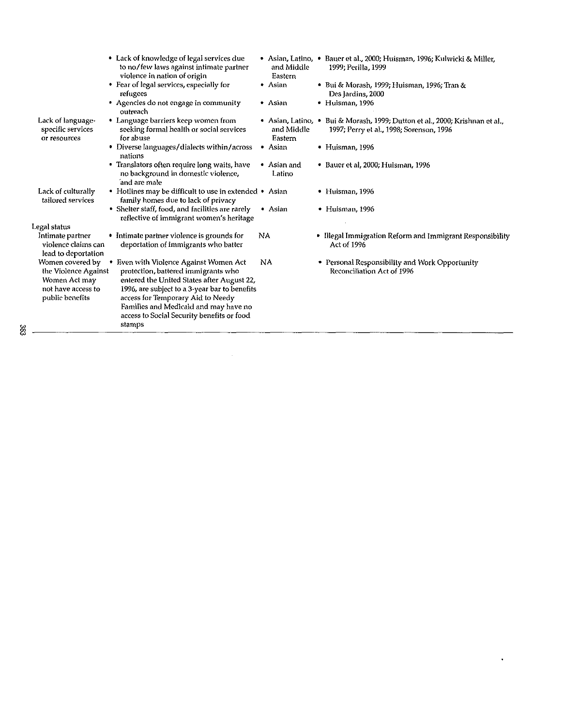|                                                                                                    | • Lack of knowledge of legal services due<br>to no/few laws against intimate partner<br>violence in nation of origin<br>• Fear of legal services, especially for<br>refugees                                                                                                                                     |    | and Middle<br>Eastern<br>• Asian | • Asian, Latino, • Bauer et al., 2000; Huisman, 1996; Kulwicki & Miller,<br>1999; Perilla, 1999<br>• Bui & Morash, 1999; Huisman, 1996; Tran &<br>Des Jardins, 2000 |
|----------------------------------------------------------------------------------------------------|------------------------------------------------------------------------------------------------------------------------------------------------------------------------------------------------------------------------------------------------------------------------------------------------------------------|----|----------------------------------|---------------------------------------------------------------------------------------------------------------------------------------------------------------------|
|                                                                                                    | • Agencies do not engage in community<br>outreach                                                                                                                                                                                                                                                                |    | • Asian                          | • Huisman 1996                                                                                                                                                      |
| Lack of language-<br>specific services<br>or resources                                             | • Language barriers keep women from<br>seeking formal health or social services<br>for abuse                                                                                                                                                                                                                     |    | and Middle<br>Eastern            | • Asian, Latino, • Bui & Morash, 1999; Dutton et al., 2000; Krishnan et al.,<br>1997; Perry et al., 1998; Sorenson, 1996                                            |
|                                                                                                    | • Diverse languages/dialects within/across<br>nations                                                                                                                                                                                                                                                            |    | • Asian                          | • Huisman 1996                                                                                                                                                      |
|                                                                                                    | • Translators often require long waits, have<br>no background in domestic violence,<br>and are male                                                                                                                                                                                                              |    | • Asian and<br>Latino            | • Bauer et al, 2000; Huisman, 1996                                                                                                                                  |
| Lack of culturally<br>tailored services                                                            | • Hotlines may be difficult to use in extended • Asian<br>family homes due to lack of privacy                                                                                                                                                                                                                    |    |                                  | • Huisman, 1996                                                                                                                                                     |
|                                                                                                    | • Shelter staff, food, and facilities are rarely<br>reflective of immigrant women's heritage                                                                                                                                                                                                                     |    | • Asian                          | • Huisman, 1996                                                                                                                                                     |
| Legal status                                                                                       |                                                                                                                                                                                                                                                                                                                  |    |                                  |                                                                                                                                                                     |
| Intimate partner<br>violence claims can<br>lead to deportation                                     | • Intimate partner violence is grounds for<br>deportation of immigrants who batter                                                                                                                                                                                                                               | NA |                                  | • Illegal Immigration Reform and Immigrant Responsibility<br>Act of 1996                                                                                            |
| Women covered by<br>the Violence Against<br>Women Act may<br>not have access to<br>public benefits | Even with Violence Against Women Act<br>protection, battered immigrants who<br>entered the United States after August 22,<br>1996, are subject to a 3-year bar to benefits<br>access for Temporary Aid to Needy<br>Families and Medicaid and may have no<br>access to Social Security benefits or food<br>stamps |    | NA                               | • Personal Responsibility and Work Opportunity<br>Reconciliation Act of 1996                                                                                        |

 $\ddot{\phantom{0}}$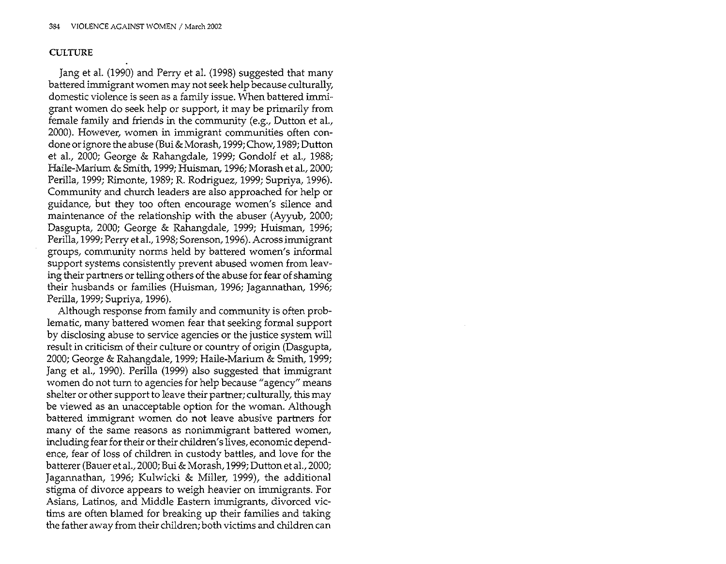### **CULTURE**

Jang et al. (1990) and Perry et al. (1998) suggested that many battered immigrant women may not seek help because culturally, domestic violence is seen as a family issue. When battered immigrant women do seek help or support, it may be primarily from female family and friends in the community (e.g., Dutton et al., 2000). However, women in immigrant communities often condone or ignore the abuse (Bui & Morash, 1999; Chow, 1989; Dutton et al., 2000; George & Rahangdale, 1999; Gondolf et al., 1988; Haile-Marium & Smith, 1999; Huisman, 1996; Morash et al., 2000; Perilla, 1999; Rimonte, 1989; R. Rodriguez, 1999; Supriya, 1996). Community and church leaders are also approached for help or guidance, but they too often encourage women's silence and maintenance of the relationship with the abuser (Ayyub, 2000; Dasgupta, 2000; George & Rahangdale, 1999; Huisman, 1996; Perilla, 1999; Perry et al., 1998; Sorenson, 1996). Across immigrant groups, community norms held by battered women's informal support systems consistently prevent abused women from leaving their partners or telling others of the abuse for fear of shaming their husbands or families (Huisman, 1996; Jagannathan, 1996; Perilla, 1999; Supriya, 1996).

Although response from family and community is often problematic, many battered women fear that seeking formal support by disclosing abuse to service agencies or the justice system will result in criticism of their culture or country of origin (Dasgupta, 2000; George & Rahangdale, 1999; Haile-Marium & Smith, 1999; Jang et al., 1990). Perilla (1999) also suggested that immigrant women do not tum to agencies for help because "agency" means shelter or other support to leave their partner; culturally, this may be viewed as an unacceptable option for the woman. Although battered immigrant women do not leave abusive partners for many of the same reasons as nonimmigrant battered women, including fear for their or their children's lives, economic dependence, fear of loss of children in custody battles, and love for the batterer (Bauer et al., 2000; Bui & Morash, 1999; Dutton et al., 2000; Jagannathan, 1996; Kulwicki & Miller, 1999), the additional stigma of divorce appears to weigh heavier on immigrants. For Asians, Latinos, and Middle Eastern immigrants, divorced victims are often blamed for breaking up their families and taking the father away from their children; both victims and children can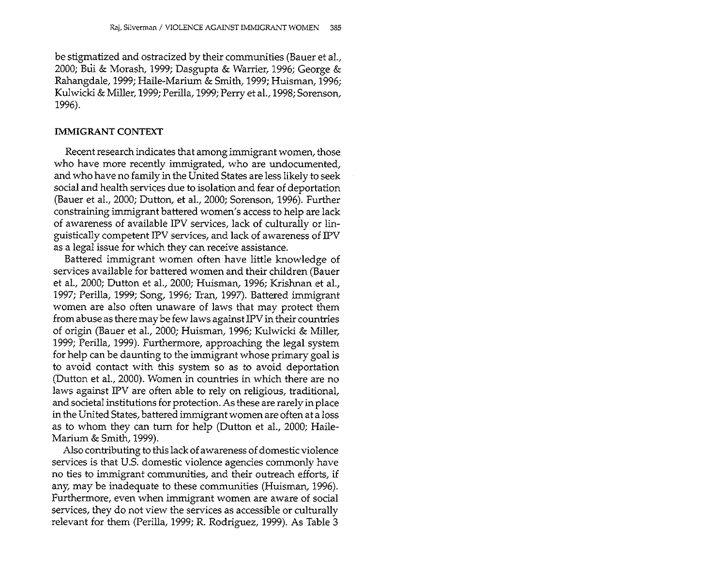be stigmatized and ostracized by their communities (Bauer et al., 2000; Bui & Morash, 1999; Dasgupta & Warrier, 1996; George & Rahangdale, 1999; Haile-Marium & Smith, 1999; Huisman, 1996; Kulwicki & Miller, 1999; Perilla, 1999; Perry et aL, 1998; Sorenson, 1996).

# **IMMIGRANT CONTEXT**

Recent research indicates that among immigrant women, those who have more recently immigrated, who are undocumented, and who have no family in the United States are less likely to seek social and health services due to isolation and fear of deportation (Bauer et aL, 2000; Dutton, et al., 2000; Sorenson, 1996), Further constraining immigrant battered women's access to help are lack of awareness of available IPV services, lack of culturally or linguistically competent IPV services, and lack of awareness of IPV as a legal issue for which they can receive assistance,

Battered immigrant women often have little knowledge of services available for battered women and their children (Bauer et aL, 2000; Dutton et aL, 2000; Huisman, 1996; Krishnan et aL, 1997; Perilla, 1999; Song, 1996; Tran, 1997), Battered immigrant women are also often unaware of laws that may protect them from abuse as there may be few laws against IPV in their countries of origin (Bauer et aL, 2000; Huisman, 1996; Kulwicki & Miller, 1999; Perilla, 1999). Furthermore, approaching the legal system for help can be daunting to the immigrant whose primary goal is to avoid contact with this system so as to avoid deportation (Dutton et al., 2000). Women in countries in which there are no laws against IPV are often able to rely on religious, traditional, and societal institutions for protection. As these are rarely in place in the United States, battered immigrant women are often at a loss as to whom they can tum for help (Dutton et al., 2000; Haile-Marium & Smith, 1999).

Also contributing to this lack of awareness of domestic violence services is that U.S. domestic violence agencies commonly have no ties to immigrant communities, and their outreach efforts, if any, may be inadequate to these communities (Huisman, 1996). Furthermore, even when immigrant women are aware of social services, they do not view the services as accessible or culturally relevant for them (Perilla, 1999; R. Rodriguez, 1999). As Table 3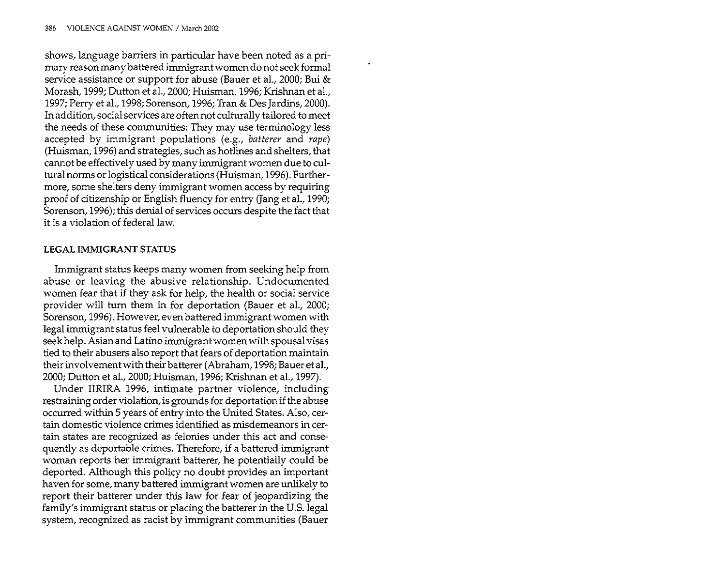shows, language barriers in particular have been noted as a primary reason many battered immigrant women do not seek formal service assistance or support for abuse (Bauer et al., 2000; Bui & Morash, 1999; Dutton et al., 2000; Huisman, 1996; Krishnan et al., 1997; Perry et al., 1998; Sorenson, 1996; Tran & Des Jardins, 2000). In addition, social services are often not culturally tailored to meet the needs of these communities: They may use terminology less accepted by immigrant populations (e.g., *batterer* and *rape)*  (Huisman, 1996) and strategies, such as hotlines and shelters, that cannot be effectively used by many immigrant women due to cultural norms or logistical considerations (Huisman, 1996). Furthermore, some shelters deny immigrant women access by requiring proof of citizenship or English fluency for entry (Jang et al., 1990; Sorenson, 1996); this denial of services occurs despite the fact that it is a violation of federal law.

#### LEGAL IMMIGRANT STATUS

Immigrant status keeps many women from seeking help from abuse or leaving the abusive relationship. Undocumented women fear that if they ask for help, the health or social service provider will tum them in for deportation (Bauer et al., 2000; Sorenson, 1996). However, even battered immigrant women with legal immigrant status feel vulnerable to deportation should they seek help. Asian and Latino immigrant women with spousal visas tied to their abusers also report that fears of deportation maintain their involvement with their batterer (Abraham, 1998; Bauer et al., 2000; Dutton et al., 2000; Huisman, 1996; Krishnan et al., 1997).

Under IIRIRA 1996, intimate partner violence, including restraining order violation, is grounds for deportation if the abuse occurred within 5 years of entry into the United States. Also, certain domestic violence crimes identified as misdemeanors in certain states are recognized as felonies under this act and consequently as deportable crimes. Therefore, if a battered immigrant woman reports her immigrant batterer, he potentially could be deported. Although this policy no doubt provides an important haven for some, many battered immigrant women are unlikely to report their batterer under this law for fear of jeopardizing the family's immigrant status or placing the batterer in the U.S. legal system, recognized as racist by immigrant communities (Bauer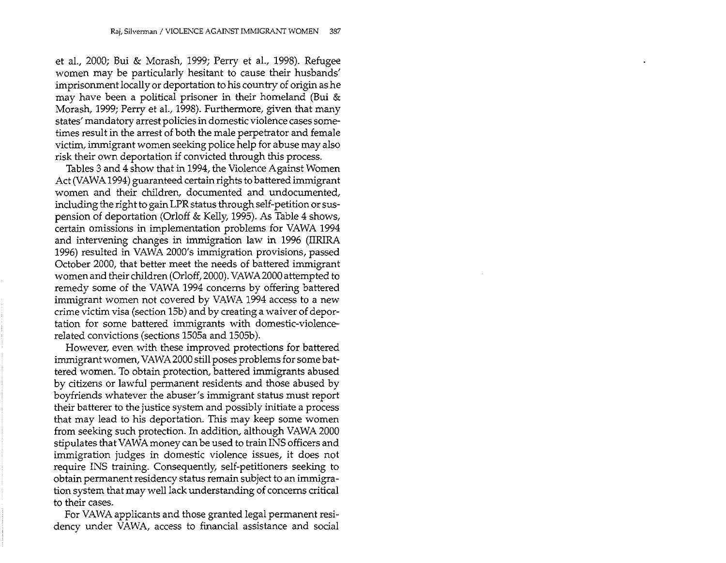et al., 2000; Bui & Morash, 1999; Perry et al., 1998). Refugee women may be particularly hesitant to cause their husbands' imprisonment locally or deportation to his country of origin as he may have been a political prisoner in their homeland (Bui & Morash, 1999; Perry et al., 1998). Furthermore, given that many states' mandatory arrest policies in domestic violence cases sometimes result in the arrest of both the male perpetrator and female victim, immigrant women seeking police help for abuse may also risk their own deportation if convicted through this process.

Tables 3 and 4 show that in 1994, the Violence Against Women Act (VAWA 1994) guaranteed certain rights to battered immigrant women and their children, documented and undocumented, including the right to gain LPR status through self-petition or suspension of deportation (Orloff & Kelly, 1995). As Table 4 shows, certain omissions in implementation problems for VAWA 1994 and intervening changes in immigration law in 1996 (IIRIRA 1996) resulted in VAWA 2000's immigration provisions, passed October 2000, that better meet the needs of battered immigrant women and their children (Orloff, 2000). VAWA2000 attempted to remedy some of the VAWA 1994 concerns by offering battered immigrant women not covered by VAWA 1994 access to a new crime victim visa (section 15b) and by creating a waiver of deportation for some battered immigrants with domestic-violencerelated convictions (sections 1505a and 1505b ).

However, even with these improved protections for battered immigrant women, VAWA 2000 still poses problems for some battered women. To obtain protection, battered immigrants abused by citizens or lawful permanent residents and those abused by boyfriends whatever the abuser's immigrant status must report their batterer to the justice system and possibly initiate a process that may lead to his deportation. This may keep some women from seeking such protection. In addition, although VAWA 2000 stipulates that VAWAmoney can be used to train INS officers and immigration judges in domestic violence issues, it does not require INS training. Consequently, self-petitioners seeking to obtain permanent residency status remain subject to an immigration system that may well lack understanding of concerns critical to their cases.

For VAWA applicants and those granted legal permanent residency under VAWA, access to financial assistance and social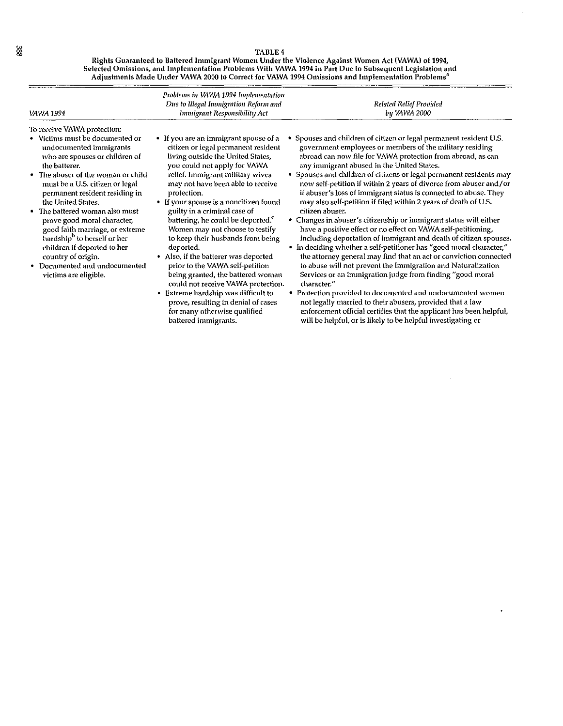#### TABLE4

J.

 $\bullet$ 

Rights Guaranteed to Battered hnmigrant Women Under the Violence Against Women Act (VAWA) of 1994, Selected Omissions, and Implementation Problems With VAWA 1994 in Part Due to Subsequent Legislation and Adjustments Made Under VAWA 2000 to Correct for VAWA 1994 Omissions and Implementation Problems<sup>a</sup>

| <b>Related Relief Provided</b><br>by VAWA 2000                                                                                                                                                                                                                                                                                                                                                                                                                                                                                                                                                                                                                                                                                                                                                                                                                                                                                                                                                                                                                                                                                                                                                                                                                                                                    |
|-------------------------------------------------------------------------------------------------------------------------------------------------------------------------------------------------------------------------------------------------------------------------------------------------------------------------------------------------------------------------------------------------------------------------------------------------------------------------------------------------------------------------------------------------------------------------------------------------------------------------------------------------------------------------------------------------------------------------------------------------------------------------------------------------------------------------------------------------------------------------------------------------------------------------------------------------------------------------------------------------------------------------------------------------------------------------------------------------------------------------------------------------------------------------------------------------------------------------------------------------------------------------------------------------------------------|
| Spouses and children of citizen or legal permanent resident U.S.<br>government employees or members of the military residing<br>abroad can now file for VAWA protection from abroad, as can<br>any immigrant abused in the United States.<br>• Spouses and children of citizens or legal permanent residents may<br>now self-petition if within 2 years of divorce from abuser and/or<br>if abuser's loss of immigrant status is connected to abuse. They<br>may also self-petition if filed within 2 years of death of U.S.<br>citizen abuser.<br>Changes in abuser's citizenship or immigrant status will either<br>have a positive effect or no effect on VAWA self-petitioning,<br>including deportation of immigrant and death of citizen spouses.<br>• In deciding whether a self-petitioner has "good moral character,"<br>the attorney general may find that an act or conviction connected<br>to abuse will not prevent the Immigration and Naturalization<br>Services or an immigration judge from finding "good moral<br>character."<br>• Protection provided to documented and undocumented women<br>not legally married to their abusers, provided that a law<br>enforcement official certifies that the applicant has been helpful,<br>will be helpful, or is likely to be helpful investigating or |
|                                                                                                                                                                                                                                                                                                                                                                                                                                                                                                                                                                                                                                                                                                                                                                                                                                                                                                                                                                                                                                                                                                                                                                                                                                                                                                                   |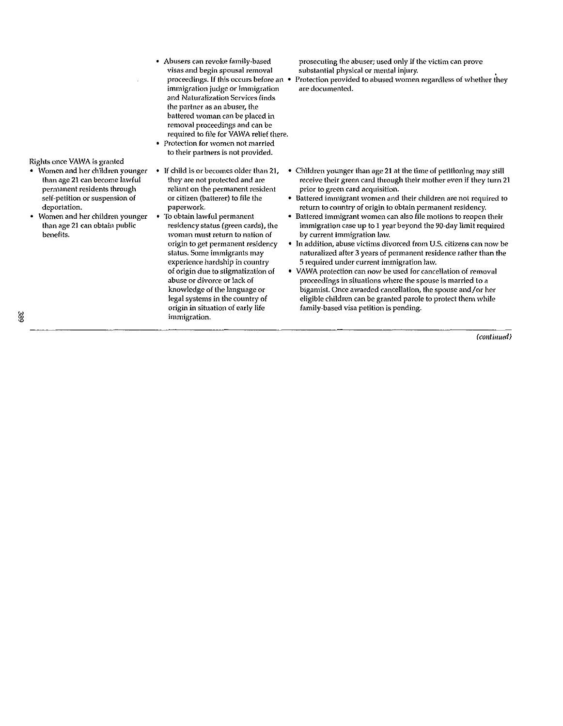Rights once VAWA is granted

- Women and her children younger than age 21 can become lawful permanent residents through self-petition or suspension of deportation.
- Women and her children younger than age 21 can obtain public benefits.
- visas and begin spousal removal proceedings. If this occurs before an • immigration judge or Immigration and Naturalization Services finds the partner as an abuser, the battered woman can be placed in removal proceedings and can be required to file for VAWA relief there.
- Protection for women not married to their partners is not provided.
- If child is or becomes older than 21, they are not protected and are reliant on the permanent resident or citizen (batterer) to file the papenvork.
- To obtain lawful permanent residency status (green cards), the \voman must return to nation of origin to get permanent residency status. Some immigrants may experience hardship in country of origin due to stigmatization of abuse or divorce or lack of knowledge of the language or legal systems in the country of origin in situation of early life immigration.

• Abusers can revoke family-based prosecuting the abuser; used only if the victim can prove substantial physical or mental injury.

> Protection provided to abused women regardless of whether they are documented.

- Children younger than age 21 at the time of petitioning may still receive their green card through their mother even if they turn 21 prior to green card acquisition.
- Battered immigrant women and their children are not required to return to country of origin to obtain permanent residency.
- Battered immigrant women can also file motions to reopen their immigration case up to 1 year beyond the 90-day limit required by current immigration law.
- $\bullet$ In addition, abuse victims divorced from U.S. citizens can now be naturalized after 3 years of permanent residence rather than the 5 required under current immigration la\v.
- VAWA protection can now be used for cancellation of removal proceedings in situations where the spouse is married to a bigamist. Once awarded cancellation, the spouse and/or her eligible children can be granted parole to protect them while family-based visa petition is pending.

(continued)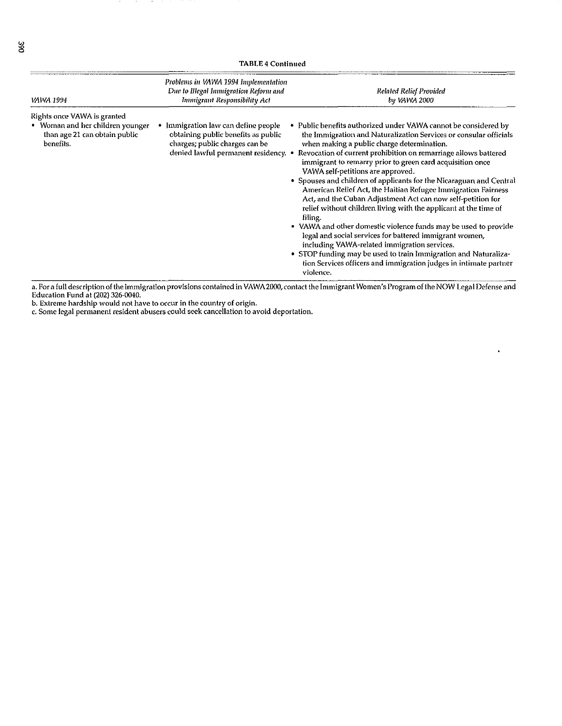TABLE 4 Continued

| VAWA 1994                                                                                                     | Problems in VAWA 1994 Implementation<br>Due to Illegal Immigration Reform and<br>Immigrant Responsibility Act                                        | <b>Related Relief Provided</b><br>by VAWA 2000                                                                                                                                                                                                                                                                                                                                                                                                                                                                                                                                                                                                                                                                                                                                                                                                                                                                                                                                   |
|---------------------------------------------------------------------------------------------------------------|------------------------------------------------------------------------------------------------------------------------------------------------------|----------------------------------------------------------------------------------------------------------------------------------------------------------------------------------------------------------------------------------------------------------------------------------------------------------------------------------------------------------------------------------------------------------------------------------------------------------------------------------------------------------------------------------------------------------------------------------------------------------------------------------------------------------------------------------------------------------------------------------------------------------------------------------------------------------------------------------------------------------------------------------------------------------------------------------------------------------------------------------|
| Rights once VAWA is granted<br>• Woman and her children younger<br>than age 21 can obtain public<br>benefits. | • Immigration law can define people<br>obtaining public benefits as public<br>charges; public charges can be<br>denied lawful permanent residency. • | • Public benefits authorized under VAWA cannot be considered by<br>the Immigration and Naturalization Services or consular officials<br>when making a public charge determination.<br>Revocation of current prohibition on remarriage allows battered<br>immigrant to remarry prior to green card acquisition once<br>VAWA self-petitions are approved.<br>• Spouses and children of applicants for the Nicaraguan and Central<br>American Relief Act, the Haitian Refugee Immigration Fairness<br>Act, and the Cuban Adjustment Act can now self-petition for<br>relief without children living with the applicant at the time of<br>filing.<br>• VAWA and other domestic violence funds may be used to provide<br>legal and social services for battered immigrant women,<br>including VAWA-related immigration services.<br>• STOP funding may be used to train Immigration and Naturaliza-<br>tion Services officers and immigration judges in intimate partner<br>violence. |

a. For a full description of the immigration provisions contained in VAWA 2000, contact the Immigrant Women's Program of the NOW Legal Defense and Education Fund at (202) 326-0040.

 $\ddot{\phantom{0}}$ 

b. Extreme hardship \vould not have to occur in the country of origin.

c. Some legal permanent resident abusers could seek cancellation to avoid deportation.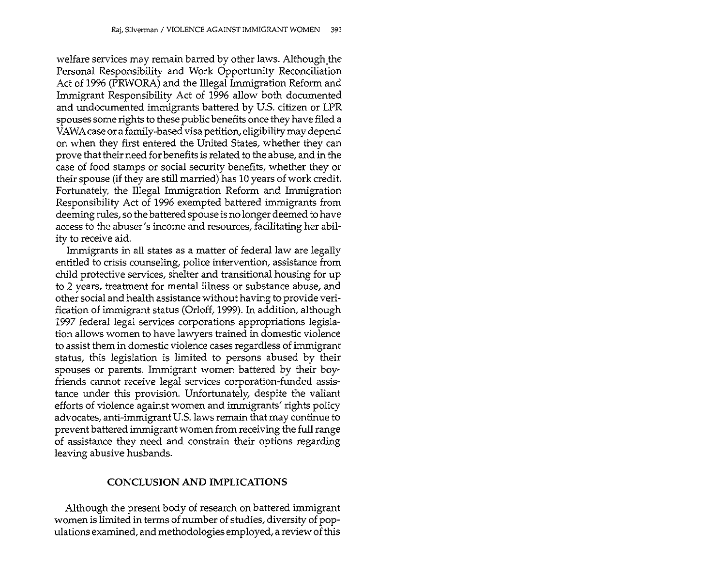welfare services may remain barred by other laws. Although the Personal Responsibility and Work Opportunity Reconciliation Act of 1996 (PRWORA) and the Illegal Immigration Reform and Immigrant Responsibility Act of 1996 allow both documented and undocumented immigrants battered by U.S. citizen or LPR spouses some rights to these public benefits once they have filed a VAWA case or a family-based visa petition, eligibility may depend on when they first entered the United States, whether they can prove that their need for benefits is related to the abuse, and in the case of food stamps or social security benefits, whether they or their spouse (if they are still married) has 10 years of work credit. Fortunately, the Illegal Immigration Reform and Immigration Responsibility Act of 1996 exempted battered immigrants from deeming rules, so the battered spouse is no longer deemed to have access to the abuser's income and resources, facilitating her ability to receive aid.

Immigrants in all states as a matter of federal law are legally entitled to crisis counseling, police intervention, assistance from child protective services, shelter and transitional housing for up to 2 years, treatment for mental illness or substance abuse, and other social and health assistance without having to provide verification of immigrant status (Orloff, 1999). In addition, although 1997 federal legal services corporations appropriations legislation allows women to have lawyers trained in domestic violence to assist them in domestic violence cases regardless of immigrant status, this legislation is limited to persons abused by their spouses or parents. Immigrant women battered by their boyfriends cannot receive legal services corporation-funded assistance under this provision. Unfortunately, despite the valiant efforts of violence against women and immigrants' rights policy advocates, anti-immigrant U.S. laws remain that may continue to prevent battered immigrant women from receiving the full range of assistance they need and constrain their options regarding leaving abusive husbands.

# **CONCLUSION AND IMPLICATIONS**

Although the present body of research on battered immigrant women is limited in terms of number of studies, diversity of populations examined, and methodologies employed, a review of this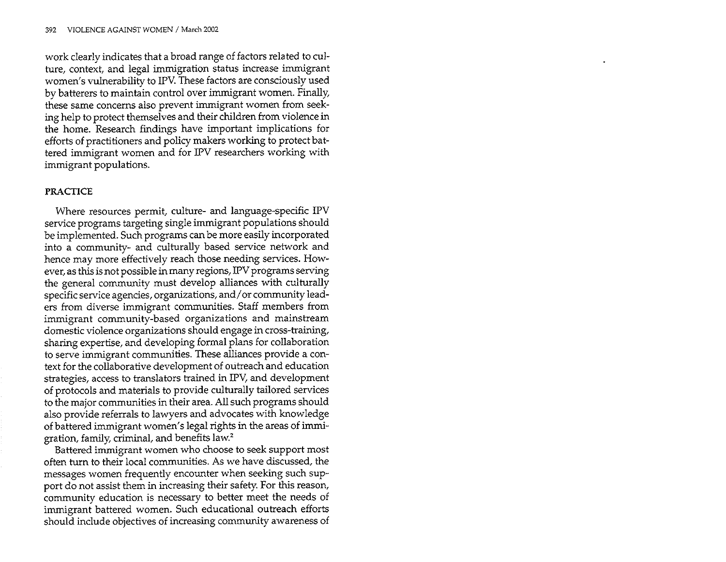work clearly indicates that a broad range of factors related to culture, context, and legal immigration status increase immigrant women's vulnerability to IPV. These factors are consciously used by batterers to maintain control over immigrant women. Finally, these same concerns also prevent immigrant women from seeking help to protect themselves and their children from violence in the home. Research findings have important implications for efforts of practitioners and policy makers working to protect battered immigrant women and for IPV researchers working with immigrant populations.

# **PRACTICE**

Where resources permit, culture- and language-specific IPV service programs targeting single immigrant populations should be implemented. Such programs can be more easily incorporated into a community- and culturally based service network and hence may more effectively reach those needing services. However, as this is not possible in many regions, IPV programs serving the general community must develop alliances with culturally specific service agencies, organizations, and/ or community leaders from diverse immigrant communities. Staff members from immigrant community-based organizations and mainstream domestic violence organizations should engage in cross-training, sharing expertise, and developing formal plans for collaboration to serve immigrant communities. These alliances provide a context for the collaborative development of outreach and education strategies, access to translators trained in IPV, and development of protocols and materials to provide culturally tailored services to the major communities in their area. All such programs should also provide referrals to lawyers and advocates with knowledge of battered immigrant women's legal rights in the areas of immigration, family, criminal, and benefits law.2

Battered immigrant women who choose to seek support most often turn to their local communities. As we have discussed, the messages women frequently encounter when seeking such support do not assist them in increasing their safety. For this reason, community education is necessary to better meet the needs of immigrant battered women. Such educational outreach efforts should include objectives of increasing community awareness of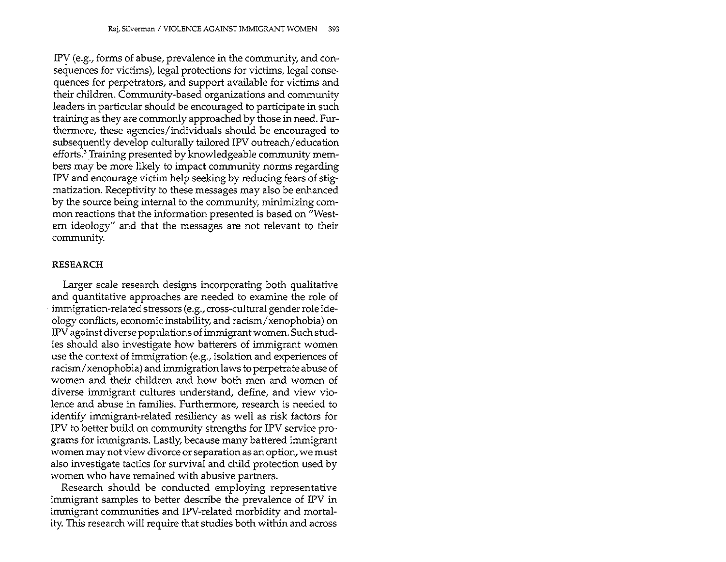IPY (e.g., forms of abuse, prevalence in the community, and consequences for victims), legal protections for victims, legal consequences for perpetrators, and support available for victims and their children. Community-based organizations and community leaders in particular should be encouraged to participate in such training as they are commonly approached by those in need. Furthermore, these agencies/individuals should be encouraged to subsequently develop culturally tailored IPV outreach/ education efforts.' Training presented by knowledgeable community members may be more likely to impact community norms regarding IPV and encourage victim help seeking by reducing fears of stigmatization. Receptivity to these messages may also be enhanced by the source being internal to the community, minimizing common reactions that the information presented is based on "Western ideology" and that the messages are not relevant to their community.

#### RESEARCH

Larger scale research designs incorporating both qualitative and quantitative approaches are needed to examine the role of immigration-related stressors (e.g., cross-cultural gender role ideology conflicts, economic instability, and racism/xenophobia) on IPV against diverse populations of immigrant women. Such studies should also investigate how batterers of immigrant women use the context of immigration (e.g., isolation and experiences of racism/ xenophobia) and immigration laws to perpetrate abuse of women and their children and how both men and women of diverse immigrant cultures understand, define, and view violence and abuse in families. Furthermore, research is needed to identify immigrant-related resiliency as well as risk factors for IPV to better build on community strengths for IPV service programs for immigrants. Lastly, because many battered immigrant women may not view divorce or separation as an option, we must also investigate tactics for survival and child protection used by women who have remained with abusive partners.

Research should be conducted employing representative immigrant samples to better describe the prevalence of IPV in immigrant communities and IPV-related morbidity and mortality. This research will require that studies both within and across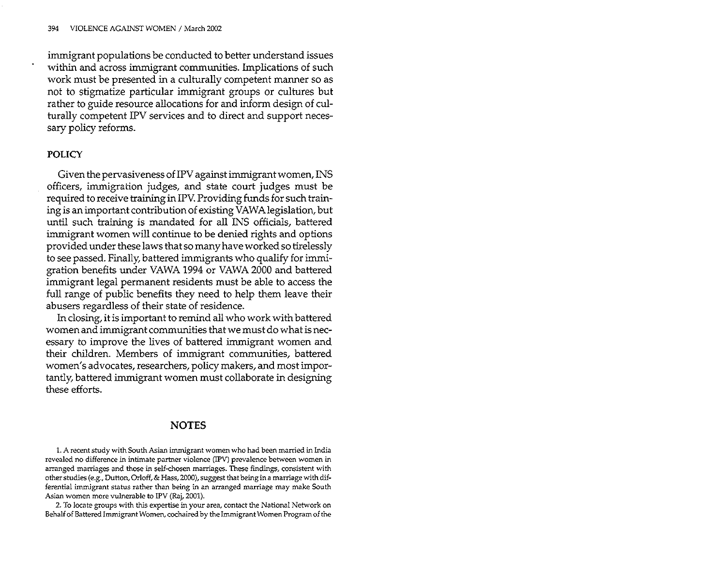immigrant populations be conducted to better understand issues within and across immigrant communities. Implications of such work must be presented in a culturally competent manner so as not to stigmatize particular immigrant groups or cultures but rather to guide resource allocations for and inform design of culturally competent IPV services and to direct and support necessary policy reforms.

#### **POLICY**

Given the pervasiveness ofIPV against immigrant women, INS officers, immigration judges, and state court judges must be required to receive training in IPV. Providing funds for such training is an important contribution of existing VAWAlegislation, but until such training is mandated for all INS officials, battered immigrant women will continue to be denied rights and options provided under these laws that so many have worked so tirelessly to see passed. Finally, battered immigrants who qualify for immigration benefits under VAWA 1994 or VAWA 2000 and battered immigrant legal permanent residents must be able to access the full range of public benefits they need to help them leave their abusers regardless of their state of residence.

In closing, it is important to remind all who work with battered women and immigrant communities that we must do what is necessary to improve the lives of battered immigrant women and their children. Members of immigrant communities, battered women's advocates, researchers, policy makers, and most importantly, battered immigrant women must collaborate in designing these efforts.

#### **NOTES**

**1. A recent study with South Asian immigrant women who had been married in India revealed no difference in intimate partner violence (IPV) prevalence between women in arranged marriages and those in self-chosen marriages. These findings, consistent with other studies (e.g., Dutton, Orloff, & Hass, 2000), suggest that being in a marriage with differential immigrant status rather than being in an arranged marriage may make South Asian women more vulnerable to IPV (Raj, 2001).** 

**2. To locate groups with this expertise in your area, contact the National Network on Behalf of Battered Immigrant Women, cochaired by the Immigrant Women Program of the**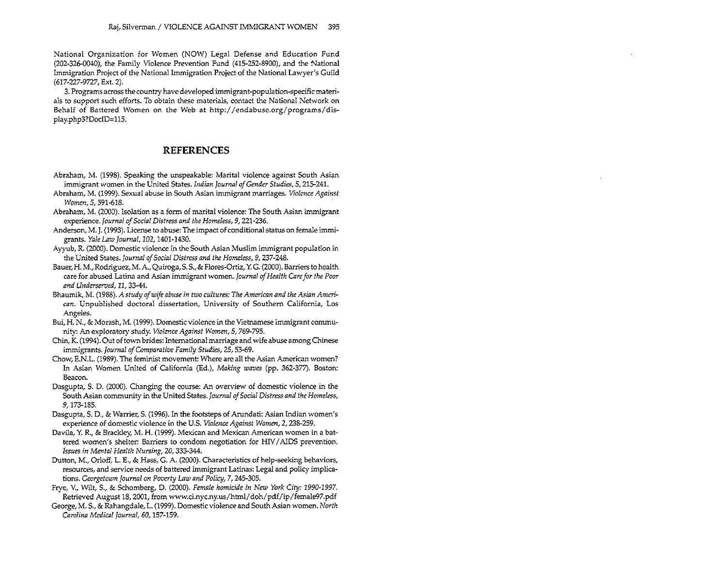National Organization for Women (NOW) Legal Defense and Education Fund (202-326-0040), the Family Violence Prevention Fund (415-252-8900), and the National Immigration Project of the National Immigration Project of the National Lawyer's Guild (617-227-9727, Ext. 2).

3. Programs across the country have developed immigrant-population-specific materials to support such efforts. To obtain these materials, contact the National Network on Behalf of Battered Women on the Web at http:/ /endabuse.org/programs/display.php3?DocID=115.

#### REFERENCES

- Abraham, M. (1998). Speaking the unspeakable: Marital violence against South Asian immigrant women in the United States. *Indian Journal of Gender Studies, 5,* 215-241.
- Abraham, M. (1999). Sexual abuse in South Asian immigrant marriages. *Violence Against Women, 5,* 591-618. ·
- Abraham, M. (2000). Isolation as a form of marital violence: The South Asian immigrant experience. *Journal of Social Distress and the Homeless, 9,* 221-236.
- Anderson, M. J. (1993). License to abuse: The impact of conditional status on female immigrants. *Yale Law Journal,* 102, 1401-1430.
- Ayyub, R. (2000). Domestic violence in the South Asian Muslim immigrant population in the United States. *Journal of Social Distress and the Homeless,* 9, 237-248.
- Bauer, H. M., Rodriguez, M.A., Quiroga, S.S., & Flores-Ortiz, Y. G. (2000). Barriers to health care for abused Latina and Asian immigrant women. *Journal of Health Care for the Poor and Underseroed, 11,* 33-44.
- Bhaumik, M. (1988). *A study of wife abuse in two cultures: The American and the Asian American.* Unpublished doctoral dissertation, University of Southern California, Los Angeles.
- Bui, H. N., & Morash, M. (1999). Domestic violence in the Vietnamese immigrant community: An exploratory study. *Violence Against Women,* 5, 769-795.
- Chin, K. (1994). Out of town brides: International marriage and wife abuse among Chinese immigrants. *Journal of Comparative Family Studies, 25,* 53-69.
- Chow, E.N.L. (1989). The feminist movement: Where are all the Asian American women? In Asian Women United of California (Ed.), *Making waves* (pp. 362-377). Boston: Beacon.
- Dasgupta, S. D. (2000). Changing the course: An overview of domestic violence in the South Asian community in the United States. *Journal of Social Distress and the Homeless,*  9, 173-185.
- Dasgupta, S. D., & Warrier, S. {1996). In the footsteps of Arundati: Asian Indian women's experience of domestic violence in the U.S. *Violence Against Women,* 2, 238-259.
- Davila, Y. R., & Brackley, M. H. (1999). Mexican and Mexican American women in a battered women's shelter: Barriers to condom negotiation for *HNI* AIDS prevention. *Issues in Mental Health Nursing,* 20, 333-344.
- Dutton, M., Orloff, L. E., & Hass, G. A. (2000). Characteristics of help-seeking behaviors, resources, and service needs of battered immigrant Latinas: Legal and policy implications. *Georgetown Journal on Poverty Law and Policy,* 7, 245-305.
- Frye, V., Wilt, S., & Schomberg, D. (2000). *Female homicide in New York City:* 1990-1997. Retrieved August 18, 2001, from www.ci.nyc.ny.us/html/doh/pdf/ip/female97.pdf
- George, M. S., & Rahangdale, L. (1999). Domestic violence and South Asian women. *North Carolina Medical Journal, 60,* 157-159.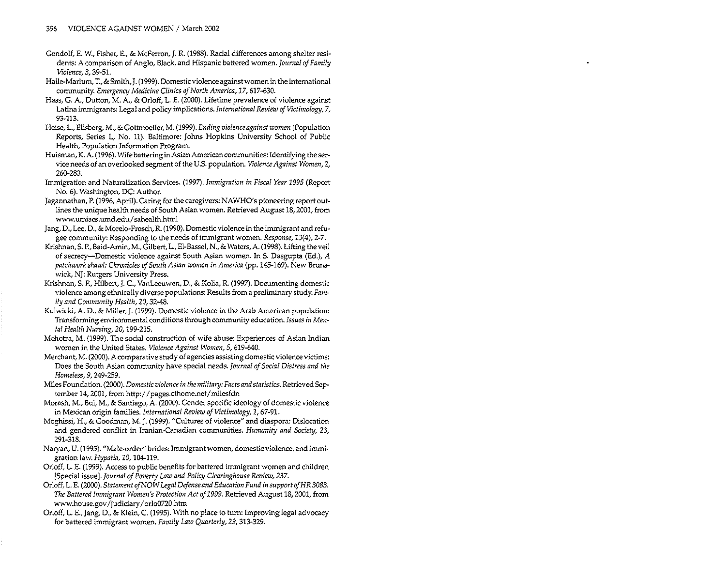- Gondolf, E. W., Fisher, E., & McFerron, J. R. (1988). Racial differences among shelter residents: A comparison of Anglo, Black, and Hispanic battered women. *Journal of Family Violence, 3,* 39-51.
- Haile-Marium, T., & Smith, J. (1999). Domestic violence against women in the international community. *Emergency Medicine Clinics of North America, 17,* 617-630.
- Hass, G. A., Dutton, M. A., & Orloff, L. E. (2000). Lifetime prevalence of violence against Latina immigrants: Legal and policy implications. *International Review of Victimology*, 7, 93-113.
- Heise, L., Ellsberg, M., & Gottmoeller, M. (1999). *Ending violence against women* (Population Reports, Series L, No. 11). Baltimore: Johns Hopkins University School of Public Health, Population Information Program.
- Huisman, K. A. (1996). Wife battering in Asian American communities: Identifying the service needs of an overlooked segment of the U.S. population. *Violence Against Women,* 2, 260-283.
- Immigration and Naturalization Services. (1997). *Immigration in Fiscal Year 1995* (Report No. 6). Washington, DC: Author.
- Jagannathan, P. (1996, April). Caring for the caregivers: NAWHO's pioneering report outlines the unique health needs of South Asian women. Retrieved August 18, 2001, from www.umiacs.umd.edu/sahealth.html
- Jang, D., Lee, D., & Morelo-Frosch, R. (1990). Domestic violence in the immigrant and refugee community: Responding to the needs of immigrant women. *Response,* 13(4), 2-7.
- Krishnan, S. P., Baid-Amin, M., Gilbert, L., El-Bassel, N., & Waters, A. (1998). Lifting the veil of secrecy-Domestic violence against South Asian women. In S. Dasgupta {Ed.), A *patchwork shawl: Chronicles of South Asian women in America* (pp. 145-169). New Brunswick, NJ: Rutgers University Press.
- Krishnan, S. P., Hilbert, J.C., Vanleeuwen, D., & Kolia, R. (1997). Documenting domestic violence among ethnically diverse populations: Results from a preliminary study. *Family and Community Health,* 20, 32-48.
- Kulwicki, A. D., & Miller, J. (1999). Domestic violence in the Arab American population: Transforming environmental conditions through community education. *Issues in Mental Health Nursing,* 20, 199-215.
- Mehotra, M. {1999). The social construction of wife abuse: Experiences of Asian Indian women in the United States. *Violence Against Women, 5,* 619-640.
- Merchant, M. (2000). A comparative study of agencies assisting domestic violence victims: Does the South Asian community have special needs. *Journal of Social Distress and the Homeless, 9,* 249-259.
- Miles Foundation. (2000). *Domestic violence in the inilitary: Facts and statistics.* Retrieved September 14, 2001, from http:/ /pages.cthome.net/milesfdn
- Morash, M., Bui, M., & Santiago, A. (2000). Gender specific ideology of domestic violence in Mexican origin families. *International Review of Victimology, 1, 67-91*.
- Moghissi, H., & Goodman, M. J. (1999). "Cultures of violence" and diaspora: Dislocation and gendered conflict in Iranian-Canadian communities. *Humanity and Society, 23,*  291-318.
- Nary an, U. (1995). "Male-order" brides: Immigrant women, domestic violence, and immigration law. *Hypatia, 10,* 104-119.
- Orloff, L. E. (1999). Access to public benefits for battered immigrant women and children [Special issue]. *Journal of Poverty Law and Policy Clearinghouse Review, 237.*
- Orloff, L. E. (2000). *Statement of* NOW *Legal Defense and Education Fund in supportofHR3083. The Battered Immigrant Women's Protection Act of 1999.* Retrieved August 18, 2001, from www.house.gov/judiciary/orlo0720.htm
- Orloff, L. E., Jang, D., & Klein, C. (1995). With no place to tum: Improving legal advocacy for battered immigrant women. *Family Law Quarterly*, 29, 313-329.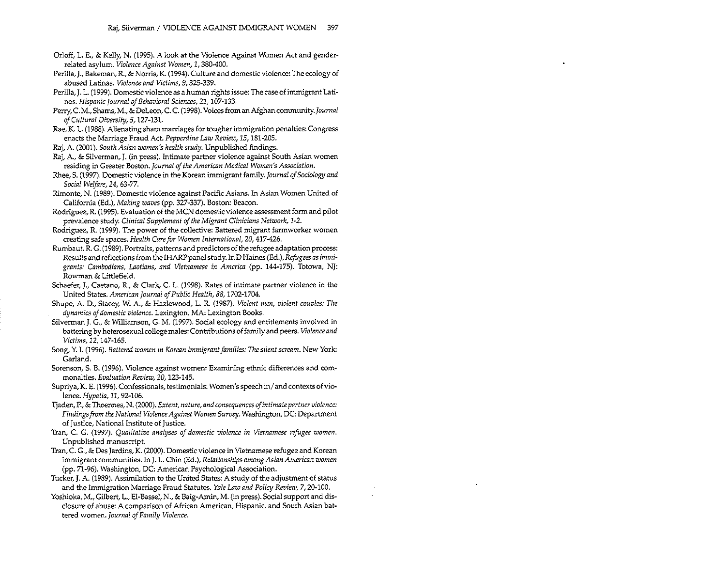- Orloff, L. E., & Kelly, N. (1995). *A* look at the Violence Against Women Act and genderrelated asylum. *Violence Against Women, 1,* 380-400.
- Perilla,]., Bakeman, R., & Norris, K. (1994). Culture and domestic violence: The ecology of abused Latinas. *Violence and Victims, 9,* 325-339.
- Perilla, J. L. (1999). Domestic violence as a human rights issue: The case of immigrant Latinos. *Hispanic Journal of Behavioral Sciences,* 21, 107-133.
- Perry, C. M., Shams, M., & Deleon, C. C. (1998). Voices from an Afghan community. *Journal of Cultural Diversity,5,* 127-131.
- Rae, K. L. (1988). Alienating sham marriages for tougher immigration penalties: Congress enacts the Marriage Fraud Act. *Pepperdine* Law *Review, 15,* 181-205.
- Raj, A. (2001). *South Asian women's health study.* Unpublished findings.
- Raj, A., & Silverman, J. (in press). Intimate partner violence against South Asian women residing in Greater Boston. *Journal of the American Medical Women's Association.*
- Rhee, S. (1997). Domestic violence in the Korean immigrant family. *Journal of Sociology and Social Welfare, 24,* 63-77.
- Rimonte, N. (1989). Domestic violence against Pacific Asians. In Asian Women United of California (Ed.), *Making waves* (pp. 327-337). Boston: Beacon.
- Rodriguez, R. (1995). Evaluation of the MCN domestic violence assessment form and pilot prevalence study. *Clinical Supplement of the Migrant Clinicians Network,* 1-2.
- Rodriguez, R. (1999). The power of the collective: Battered migrant farmworker women creating safe spaces. *Health Care for Women International, 20,* 417-426.
- Rumbaut, R. G. (1989). Portraits, patterns and predictors of the refugee adaptation process: Results and reflections from the !HARP panel study. In D Haines (Ed.), *Refugees as immigrants: Cambodians, Laotians, and Vietnamese in America* (pp. 144-175). Totowa, NJ: Rowman & Littlefield.
- Schaefer, J., Caetano, R, & Clark, C. L. (1998). Rates of intimate partner violence in the United States. *American Journal of Public Health, 88,* 1702-1704.
- Shupe, A. D., Stacey, W. A., & Hazlewood, L. R. (1937). *Violent men, violent couples: The dynamics of domestic violence.* Lexington, MA: Lexington Books.
- Silverman J. G., & Williamson, G. M. (1997). Social ecology and entitlements involved in battering by heterosexual college males: Contributions of family and peers. *Violence and Victims,* 12, 147-165.
- Song, Y. I. (1996). *Battered women in Korean immigrant families: The silent scream.* New York: Garland.
- Sorenson, S. B. (1996). Violence against women: Examining ethnic differences and commonalties. *Evaluation Review, 20,* 123-145.
- Supriya, K. E. (1996). Confessionals, testimonials: Women'sspeech in/ and contexts of violence. *Hypatia,* 11, 92-106.
- Tjaden, P., & Thoennes, N. (2000). *Extent, nature, and consequences of intimate partner violence: Findings from the National Violence Against Women Survey.* Washington, DC: Department of Justice, National Institute of Justice.
- Tran, C. G. (1997). *Qualitative analyses of domestic violence in Vietnamese refugee women.*  Unpublished manuscript.
- Tran, C. G., & Des Jardins, K. (2000). Domestic violence in Vietnamese refugee and Korean immigrant communities. In J. L. Chin (Ed.), *Relationships among Asian American women*  (pp. 71-96). Washington, DC: American Psychological Association.
- Tucker,]. A. (1989). Assimilation to the United States: A study of the adjustment of status and the Immigration Marriage Fraud Statutes. *Yale* Law *and Policy Review,* 7, 20-100.
- Yoshioka, M., Gilbert, L., El-Bassel, N., & Baig-Amin, M. (in press). Social support and disclosure of abuse: A comparison of African American, Hispanic, and South Asian battered women. *Journal of Family Violence.*